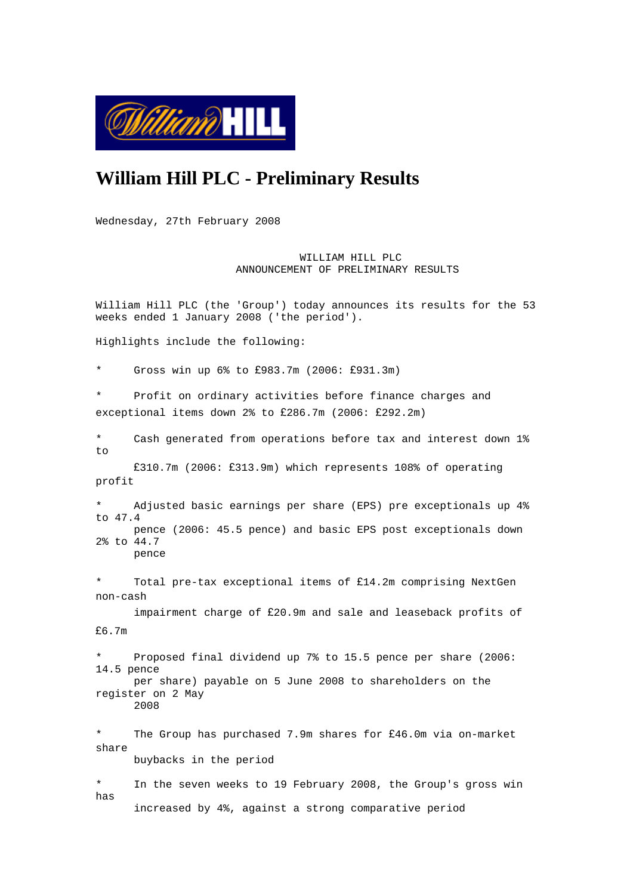

# **William Hill PLC - Preliminary Results**

Wednesday, 27th February 2008

 WILLIAM HILL PLC ANNOUNCEMENT OF PRELIMINARY RESULTS

William Hill PLC (the 'Group') today announces its results for the 53 weeks ended 1 January 2008 ('the period').

Highlights include the following:

\* Gross win up 6% to £983.7m (2006: £931.3m)

Profit on ordinary activities before finance charges and exceptional items down 2% to £286.7m (2006: £292.2m)

\* Cash generated from operations before tax and interest down 1%  $t_{\Omega}$ 

 £310.7m (2006: £313.9m) which represents 108% of operating profit

\* Adjusted basic earnings per share (EPS) pre exceptionals up 4% to 47.4 pence (2006: 45.5 pence) and basic EPS post exceptionals down 2% to 44.7 pence

Total pre-tax exceptional items of  $£14.2m$  comprising NextGen non-cash

 impairment charge of £20.9m and sale and leaseback profits of £6.7m

Proposed final dividend up 7% to 15.5 pence per share (2006: 14.5 pence per share) payable on 5 June 2008 to shareholders on the register on 2 May 2008

\* The Group has purchased 7.9m shares for £46.0m via on-market share buybacks in the period

\* In the seven weeks to 19 February 2008, the Group's gross win has increased by 4%, against a strong comparative period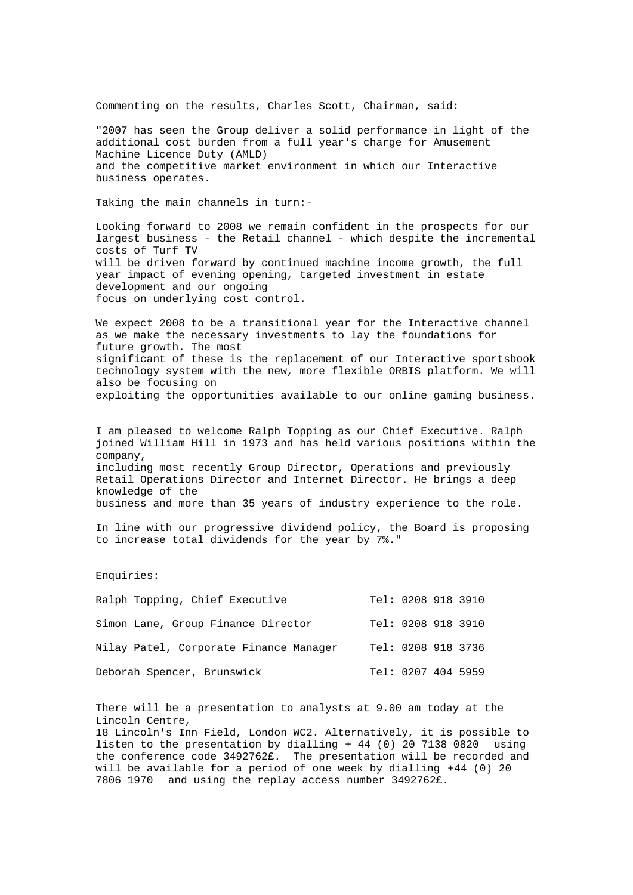Commenting on the results, Charles Scott, Chairman, said:

"2007 has seen the Group deliver a solid performance in light of the additional cost burden from a full year's charge for Amusement Machine Licence Duty (AMLD) and the competitive market environment in which our Interactive business operates.

Taking the main channels in turn:-

Looking forward to 2008 we remain confident in the prospects for our largest business - the Retail channel - which despite the incremental costs of Turf TV will be driven forward by continued machine income growth, the full year impact of evening opening, targeted investment in estate development and our ongoing focus on underlying cost control.

We expect 2008 to be a transitional year for the Interactive channel as we make the necessary investments to lay the foundations for future growth. The most significant of these is the replacement of our Interactive sportsbook technology system with the new, more flexible ORBIS platform. We will also be focusing on exploiting the opportunities available to our online gaming business.

I am pleased to welcome Ralph Topping as our Chief Executive. Ralph joined William Hill in 1973 and has held various positions within the company, including most recently Group Director, Operations and previously Retail Operations Director and Internet Director. He brings a deep knowledge of the business and more than 35 years of industry experience to the role.

In line with our progressive dividend policy, the Board is proposing to increase total dividends for the year by 7%."

Enquiries:

| Ralph Topping, Chief Executive         | Tel: 0208 918 3910 |  |
|----------------------------------------|--------------------|--|
| Simon Lane, Group Finance Director     | Tel: 0208 918 3910 |  |
| Nilay Patel, Corporate Finance Manager | Tel: 0208 918 3736 |  |
| Deborah Spencer, Brunswick             | Tel: 0207 404 5959 |  |

There will be a presentation to analysts at 9.00 am today at the Lincoln Centre,

18 Lincoln's Inn Field, London WC2. Alternatively, it is possible to listen to the presentation by dialling + 44 (0) 20 7138 0820 using the conference code 3492762£. The presentation will be recorded and will be available for a period of one week by dialling +44 (0) 20 7806 1970 and using the replay access number 3492762£.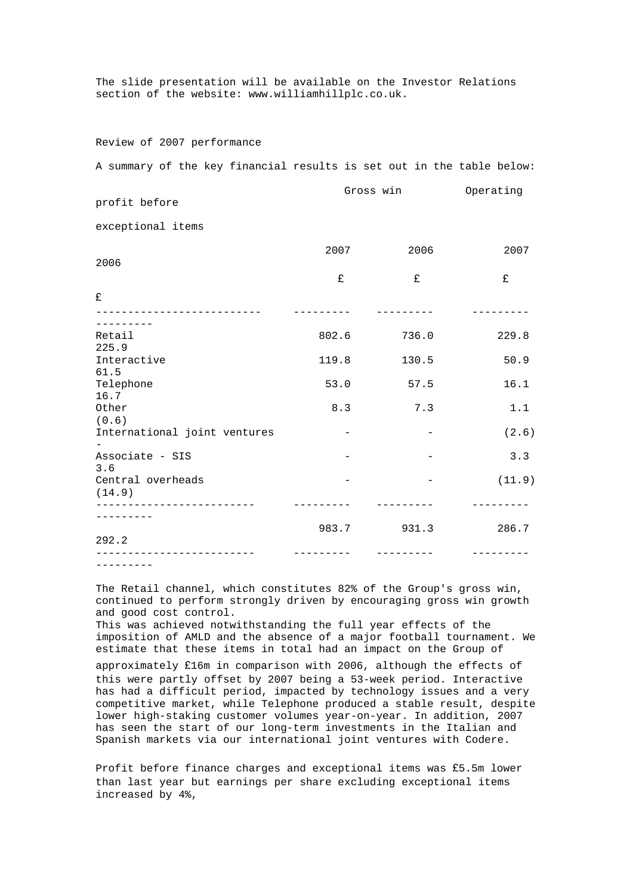The slide presentation will be available on the Investor Relations section of the website: www.williamhillplc.co.uk.

## Review of 2007 performance

A summary of the key financial results is set out in the table below:

| profit before                | Gross win |       | Operating |  |
|------------------------------|-----------|-------|-----------|--|
| exceptional items            |           |       |           |  |
| 2006                         | 2007      | 2006  | 2007      |  |
|                              | £         | £     | £         |  |
| £                            |           |       |           |  |
| Retail                       | 802.6     | 736.0 | 229.8     |  |
| 225.9<br>Interactive<br>61.5 | 119.8     | 130.5 | 50.9      |  |
| Telephone<br>16.7            | 53.0      | 57.5  | 16.1      |  |
| Other<br>(0.6)               | 8.3       | 7.3   | 1.1       |  |
| International joint ventures |           |       | (2.6)     |  |
| Associate - SIS<br>3.6       |           |       | 3.3       |  |
| Central overheads<br>(14.9)  |           |       | (11.9)    |  |
| _____________________        |           |       |           |  |
| 292.2                        | 983.7     | 931.3 | 286.7     |  |
| ---------                    |           |       |           |  |

The Retail channel, which constitutes 82% of the Group's gross win, continued to perform strongly driven by encouraging gross win growth and good cost control.

This was achieved notwithstanding the full year effects of the imposition of AMLD and the absence of a major football tournament. We estimate that these items in total had an impact on the Group of

approximately £16m in comparison with 2006, although the effects of this were partly offset by 2007 being a 53-week period. Interactive has had a difficult period, impacted by technology issues and a very competitive market, while Telephone produced a stable result, despite lower high-staking customer volumes year-on-year. In addition, 2007 has seen the start of our long-term investments in the Italian and Spanish markets via our international joint ventures with Codere.

Profit before finance charges and exceptional items was £5.5m lower than last year but earnings per share excluding exceptional items increased by 4%,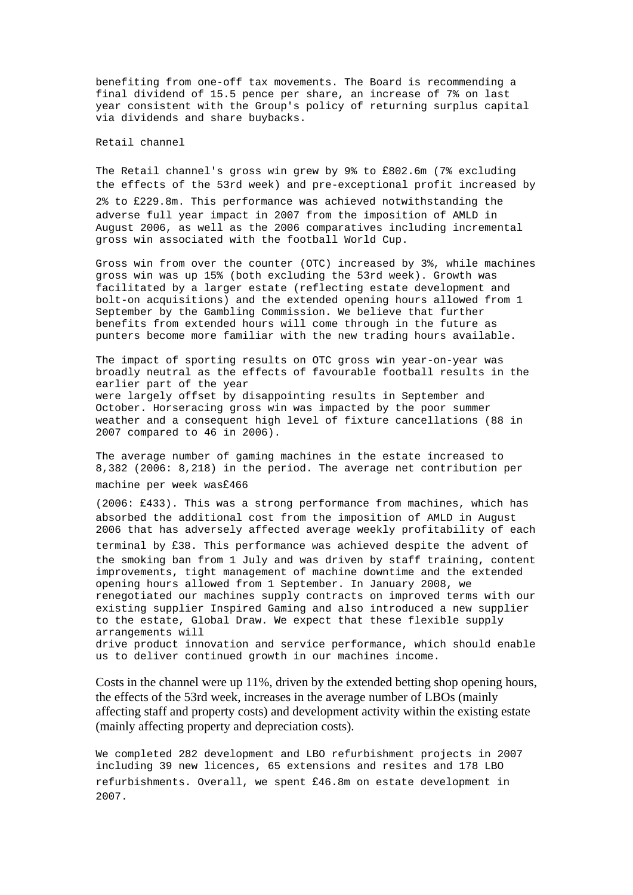benefiting from one-off tax movements. The Board is recommending a final dividend of 15.5 pence per share, an increase of 7% on last year consistent with the Group's policy of returning surplus capital via dividends and share buybacks.

Retail channel

The Retail channel's gross win grew by 9% to £802.6m (7% excluding the effects of the 53rd week) and pre-exceptional profit increased by 2% to £229.8m. This performance was achieved notwithstanding the adverse full year impact in 2007 from the imposition of AMLD in August 2006, as well as the 2006 comparatives including incremental gross win associated with the football World Cup.

Gross win from over the counter (OTC) increased by 3%, while machines gross win was up 15% (both excluding the 53rd week). Growth was facilitated by a larger estate (reflecting estate development and bolt-on acquisitions) and the extended opening hours allowed from 1 September by the Gambling Commission. We believe that further benefits from extended hours will come through in the future as punters become more familiar with the new trading hours available.

The impact of sporting results on OTC gross win year-on-year was broadly neutral as the effects of favourable football results in the earlier part of the year were largely offset by disappointing results in September and October. Horseracing gross win was impacted by the poor summer weather and a consequent high level of fixture cancellations (88 in 2007 compared to 46 in 2006).

The average number of gaming machines in the estate increased to 8,382 (2006: 8,218) in the period. The average net contribution per machine per week was£466

(2006: £433). This was a strong performance from machines, which has absorbed the additional cost from the imposition of AMLD in August 2006 that has adversely affected average weekly profitability of each terminal by £38. This performance was achieved despite the advent of the smoking ban from 1 July and was driven by staff training, content improvements, tight management of machine downtime and the extended opening hours allowed from 1 September. In January 2008, we renegotiated our machines supply contracts on improved terms with our existing supplier Inspired Gaming and also introduced a new supplier to the estate, Global Draw. We expect that these flexible supply arrangements will drive product innovation and service performance, which should enable us to deliver continued growth in our machines income.

Costs in the channel were up 11%, driven by the extended betting shop opening hours, the effects of the 53rd week, increases in the average number of LBOs (mainly affecting staff and property costs) and development activity within the existing estate (mainly affecting property and depreciation costs).

We completed 282 development and LBO refurbishment projects in 2007 including 39 new licences, 65 extensions and resites and 178 LBO refurbishments. Overall, we spent £46.8m on estate development in 2007.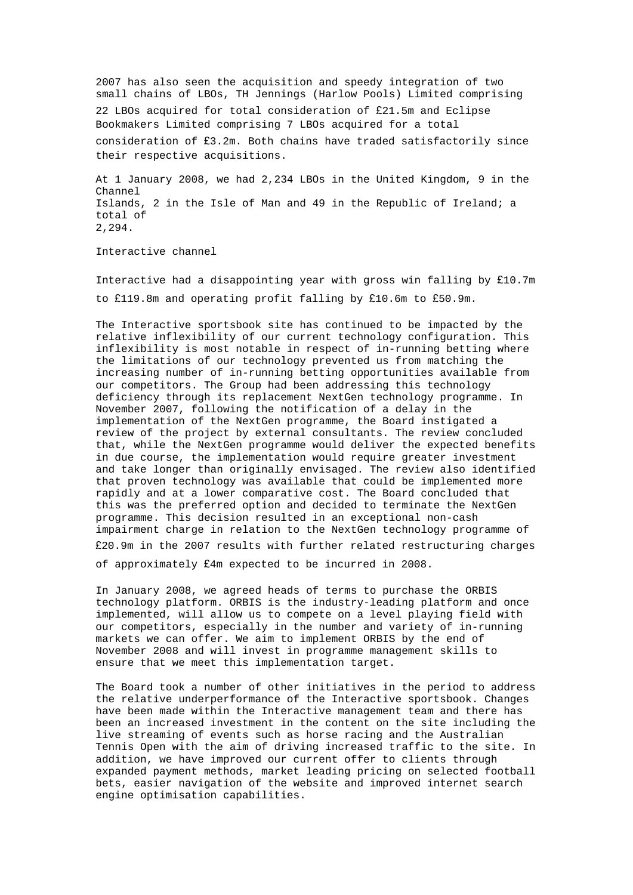2007 has also seen the acquisition and speedy integration of two small chains of LBOs, TH Jennings (Harlow Pools) Limited comprising 22 LBOs acquired for total consideration of £21.5m and Eclipse Bookmakers Limited comprising 7 LBOs acquired for a total consideration of  $£3.2m$ . Both chains have traded satisfactorily since their respective acquisitions.

At 1 January 2008, we had 2,234 LBOs in the United Kingdom, 9 in the Channel Islands, 2 in the Isle of Man and 49 in the Republic of Ireland; a total of 2,294.

Interactive channel

Interactive had a disappointing year with gross win falling by  $£10.7m$ to £119.8m and operating profit falling by £10.6m to £50.9m.

The Interactive sportsbook site has continued to be impacted by the relative inflexibility of our current technology configuration. This inflexibility is most notable in respect of in-running betting where the limitations of our technology prevented us from matching the increasing number of in-running betting opportunities available from our competitors. The Group had been addressing this technology deficiency through its replacement NextGen technology programme. In November 2007, following the notification of a delay in the implementation of the NextGen programme, the Board instigated a review of the project by external consultants. The review concluded that, while the NextGen programme would deliver the expected benefits in due course, the implementation would require greater investment and take longer than originally envisaged. The review also identified that proven technology was available that could be implemented more rapidly and at a lower comparative cost. The Board concluded that this was the preferred option and decided to terminate the NextGen programme. This decision resulted in an exceptional non-cash impairment charge in relation to the NextGen technology programme of £20.9m in the 2007 results with further related restructuring charges

of approximately £4m expected to be incurred in 2008.

In January 2008, we agreed heads of terms to purchase the ORBIS technology platform. ORBIS is the industry-leading platform and once implemented, will allow us to compete on a level playing field with our competitors, especially in the number and variety of in-running markets we can offer. We aim to implement ORBIS by the end of November 2008 and will invest in programme management skills to ensure that we meet this implementation target.

The Board took a number of other initiatives in the period to address the relative underperformance of the Interactive sportsbook. Changes have been made within the Interactive management team and there has been an increased investment in the content on the site including the live streaming of events such as horse racing and the Australian Tennis Open with the aim of driving increased traffic to the site. In addition, we have improved our current offer to clients through expanded payment methods, market leading pricing on selected football bets, easier navigation of the website and improved internet search engine optimisation capabilities.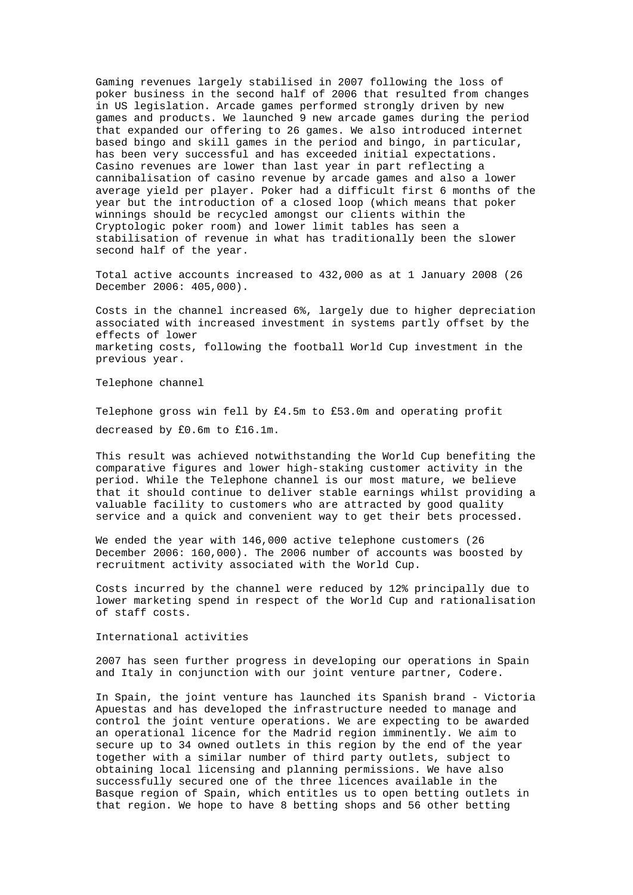Gaming revenues largely stabilised in 2007 following the loss of poker business in the second half of 2006 that resulted from changes in US legislation. Arcade games performed strongly driven by new games and products. We launched 9 new arcade games during the period that expanded our offering to 26 games. We also introduced internet based bingo and skill games in the period and bingo, in particular, has been very successful and has exceeded initial expectations. Casino revenues are lower than last year in part reflecting a cannibalisation of casino revenue by arcade games and also a lower average yield per player. Poker had a difficult first 6 months of the year but the introduction of a closed loop (which means that poker winnings should be recycled amongst our clients within the Cryptologic poker room) and lower limit tables has seen a stabilisation of revenue in what has traditionally been the slower second half of the year.

Total active accounts increased to 432,000 as at 1 January 2008 (26 December 2006: 405,000).

Costs in the channel increased 6%, largely due to higher depreciation associated with increased investment in systems partly offset by the effects of lower marketing costs, following the football World Cup investment in the previous year.

Telephone channel

Telephone gross win fell by  $£4.5m$  to  $£53.0m$  and operating profit decreased by £0.6m to £16.1m.

This result was achieved notwithstanding the World Cup benefiting the comparative figures and lower high-staking customer activity in the period. While the Telephone channel is our most mature, we believe that it should continue to deliver stable earnings whilst providing a valuable facility to customers who are attracted by good quality service and a quick and convenient way to get their bets processed.

We ended the year with 146,000 active telephone customers (26 December 2006: 160,000). The 2006 number of accounts was boosted by recruitment activity associated with the World Cup.

Costs incurred by the channel were reduced by 12% principally due to lower marketing spend in respect of the World Cup and rationalisation of staff costs.

International activities

2007 has seen further progress in developing our operations in Spain and Italy in conjunction with our joint venture partner, Codere.

In Spain, the joint venture has launched its Spanish brand - Victoria Apuestas and has developed the infrastructure needed to manage and control the joint venture operations. We are expecting to be awarded an operational licence for the Madrid region imminently. We aim to secure up to 34 owned outlets in this region by the end of the year together with a similar number of third party outlets, subject to obtaining local licensing and planning permissions. We have also successfully secured one of the three licences available in the Basque region of Spain, which entitles us to open betting outlets in that region. We hope to have 8 betting shops and 56 other betting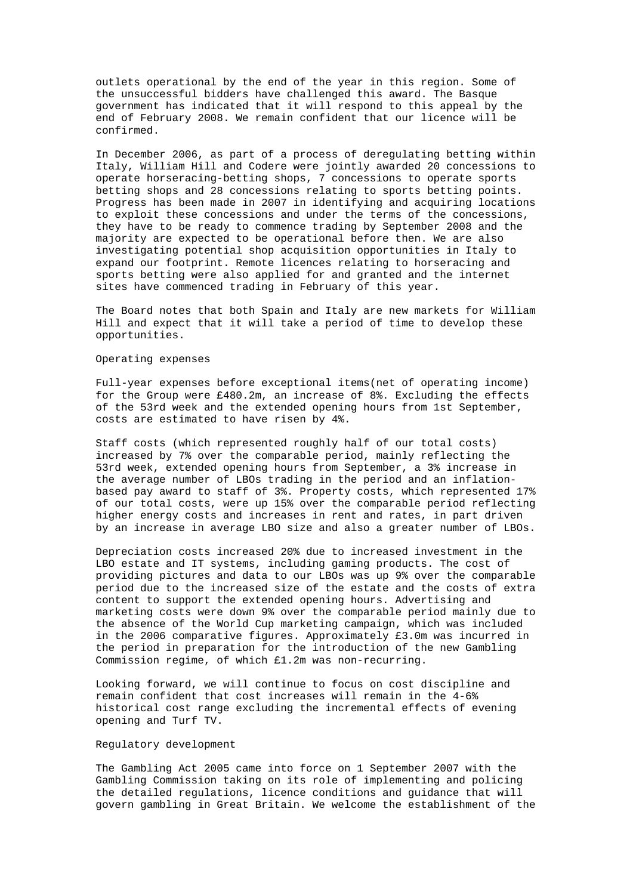outlets operational by the end of the year in this region. Some of the unsuccessful bidders have challenged this award. The Basque government has indicated that it will respond to this appeal by the end of February 2008. We remain confident that our licence will be confirmed.

In December 2006, as part of a process of deregulating betting within Italy, William Hill and Codere were jointly awarded 20 concessions to operate horseracing-betting shops, 7 concessions to operate sports betting shops and 28 concessions relating to sports betting points. Progress has been made in 2007 in identifying and acquiring locations to exploit these concessions and under the terms of the concessions, they have to be ready to commence trading by September 2008 and the majority are expected to be operational before then. We are also investigating potential shop acquisition opportunities in Italy to expand our footprint. Remote licences relating to horseracing and sports betting were also applied for and granted and the internet sites have commenced trading in February of this year.

The Board notes that both Spain and Italy are new markets for William Hill and expect that it will take a period of time to develop these opportunities.

## Operating expenses

Full-year expenses before exceptional items(net of operating income) for the Group were £480.2m, an increase of 8%. Excluding the effects of the 53rd week and the extended opening hours from 1st September, costs are estimated to have risen by 4%.

Staff costs (which represented roughly half of our total costs) increased by 7% over the comparable period, mainly reflecting the 53rd week, extended opening hours from September, a 3% increase in the average number of LBOs trading in the period and an inflationbased pay award to staff of 3%. Property costs, which represented 17% of our total costs, were up 15% over the comparable period reflecting higher energy costs and increases in rent and rates, in part driven by an increase in average LBO size and also a greater number of LBOs.

Depreciation costs increased 20% due to increased investment in the LBO estate and IT systems, including gaming products. The cost of providing pictures and data to our LBOs was up 9% over the comparable period due to the increased size of the estate and the costs of extra content to support the extended opening hours. Advertising and marketing costs were down 9% over the comparable period mainly due to the absence of the World Cup marketing campaign, which was included in the 2006 comparative figures. Approximately £3.0m was incurred in the period in preparation for the introduction of the new Gambling Commission regime, of which £1.2m was non-recurring.

Looking forward, we will continue to focus on cost discipline and remain confident that cost increases will remain in the 4-6% historical cost range excluding the incremental effects of evening opening and Turf TV.

## Regulatory development

The Gambling Act 2005 came into force on 1 September 2007 with the Gambling Commission taking on its role of implementing and policing the detailed regulations, licence conditions and guidance that will govern gambling in Great Britain. We welcome the establishment of the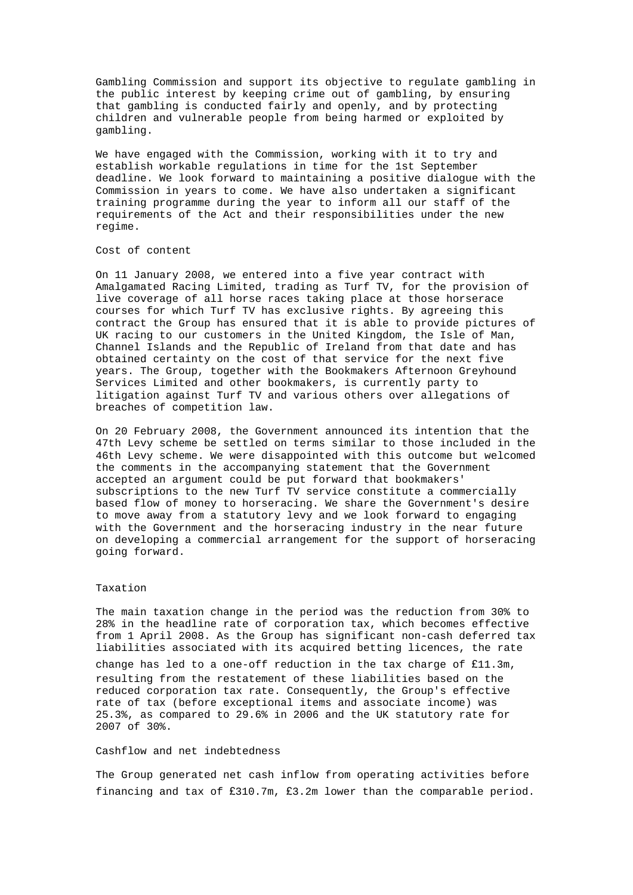Gambling Commission and support its objective to regulate gambling in the public interest by keeping crime out of gambling, by ensuring that gambling is conducted fairly and openly, and by protecting children and vulnerable people from being harmed or exploited by gambling.

We have engaged with the Commission, working with it to try and establish workable regulations in time for the 1st September deadline. We look forward to maintaining a positive dialogue with the Commission in years to come. We have also undertaken a significant training programme during the year to inform all our staff of the requirements of the Act and their responsibilities under the new regime.

## Cost of content

On 11 January 2008, we entered into a five year contract with Amalgamated Racing Limited, trading as Turf TV, for the provision of live coverage of all horse races taking place at those horserace courses for which Turf TV has exclusive rights. By agreeing this contract the Group has ensured that it is able to provide pictures of UK racing to our customers in the United Kingdom, the Isle of Man, Channel Islands and the Republic of Ireland from that date and has obtained certainty on the cost of that service for the next five years. The Group, together with the Bookmakers Afternoon Greyhound Services Limited and other bookmakers, is currently party to litigation against Turf TV and various others over allegations of breaches of competition law.

On 20 February 2008, the Government announced its intention that the 47th Levy scheme be settled on terms similar to those included in the 46th Levy scheme. We were disappointed with this outcome but welcomed the comments in the accompanying statement that the Government accepted an argument could be put forward that bookmakers' subscriptions to the new Turf TV service constitute a commercially based flow of money to horseracing. We share the Government's desire to move away from a statutory levy and we look forward to engaging with the Government and the horseracing industry in the near future on developing a commercial arrangement for the support of horseracing going forward.

## Taxation

The main taxation change in the period was the reduction from 30% to 28% in the headline rate of corporation tax, which becomes effective from 1 April 2008. As the Group has significant non-cash deferred tax liabilities associated with its acquired betting licences, the rate change has led to a one-off reduction in the tax charge of  $£11.3m$ , resulting from the restatement of these liabilities based on the reduced corporation tax rate. Consequently, the Group's effective rate of tax (before exceptional items and associate income) was 25.3%, as compared to 29.6% in 2006 and the UK statutory rate for 2007 of 30%.

# Cashflow and net indebtedness

The Group generated net cash inflow from operating activities before financing and tax of  $£310.7m$ , £3.2m lower than the comparable period.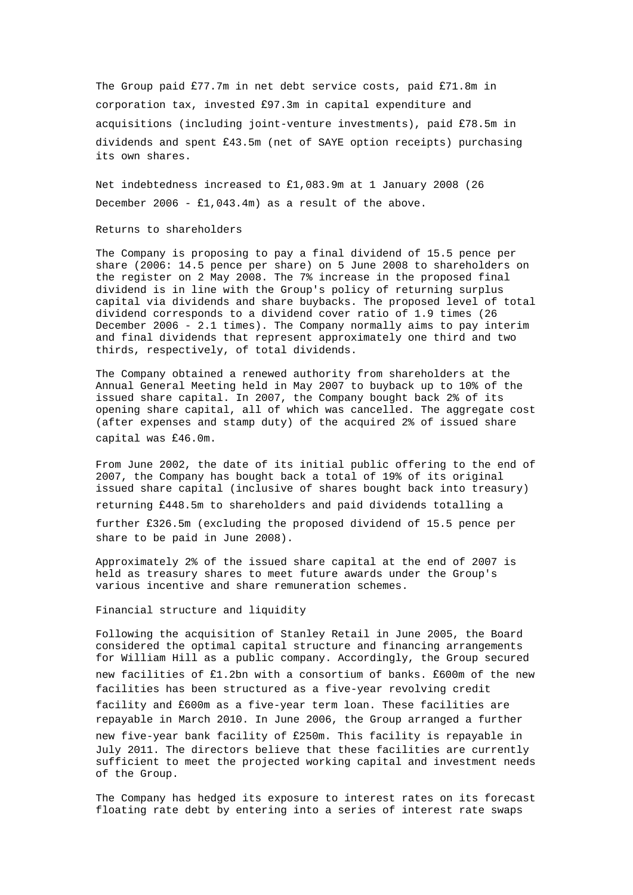The Group paid £77.7m in net debt service costs, paid £71.8m in corporation tax, invested £97.3m in capital expenditure and acquisitions (including joint-venture investments), paid £78.5m in dividends and spent £43.5m (net of SAYE option receipts) purchasing its own shares.

Net indebtedness increased to  $£1,083.9m$  at 1 January 2008 (26 December 2006 -  $f1,043.4m$  as a result of the above.

Returns to shareholders

The Company is proposing to pay a final dividend of 15.5 pence per share (2006: 14.5 pence per share) on 5 June 2008 to shareholders on the register on 2 May 2008. The 7% increase in the proposed final dividend is in line with the Group's policy of returning surplus capital via dividends and share buybacks. The proposed level of total dividend corresponds to a dividend cover ratio of 1.9 times (26 December 2006 - 2.1 times). The Company normally aims to pay interim and final dividends that represent approximately one third and two thirds, respectively, of total dividends.

The Company obtained a renewed authority from shareholders at the Annual General Meeting held in May 2007 to buyback up to 10% of the issued share capital. In 2007, the Company bought back 2% of its opening share capital, all of which was cancelled. The aggregate cost (after expenses and stamp duty) of the acquired 2% of issued share capital was £46.0m.

From June 2002, the date of its initial public offering to the end of 2007, the Company has bought back a total of 19% of its original issued share capital (inclusive of shares bought back into treasury) returning £448.5m to shareholders and paid dividends totalling a

further £326.5m (excluding the proposed dividend of 15.5 pence per share to be paid in June 2008).

Approximately 2% of the issued share capital at the end of 2007 is held as treasury shares to meet future awards under the Group's various incentive and share remuneration schemes.

Financial structure and liquidity

Following the acquisition of Stanley Retail in June 2005, the Board considered the optimal capital structure and financing arrangements for William Hill as a public company. Accordingly, the Group secured new facilities of  $£1.2$ bn with a consortium of banks. £600m of the new facilities has been structured as a five-year revolving credit facility and £600m as a five-year term loan. These facilities are repayable in March 2010. In June 2006, the Group arranged a further new five-year bank facility of £250m. This facility is repayable in July 2011. The directors believe that these facilities are currently sufficient to meet the projected working capital and investment needs of the Group.

The Company has hedged its exposure to interest rates on its forecast floating rate debt by entering into a series of interest rate swaps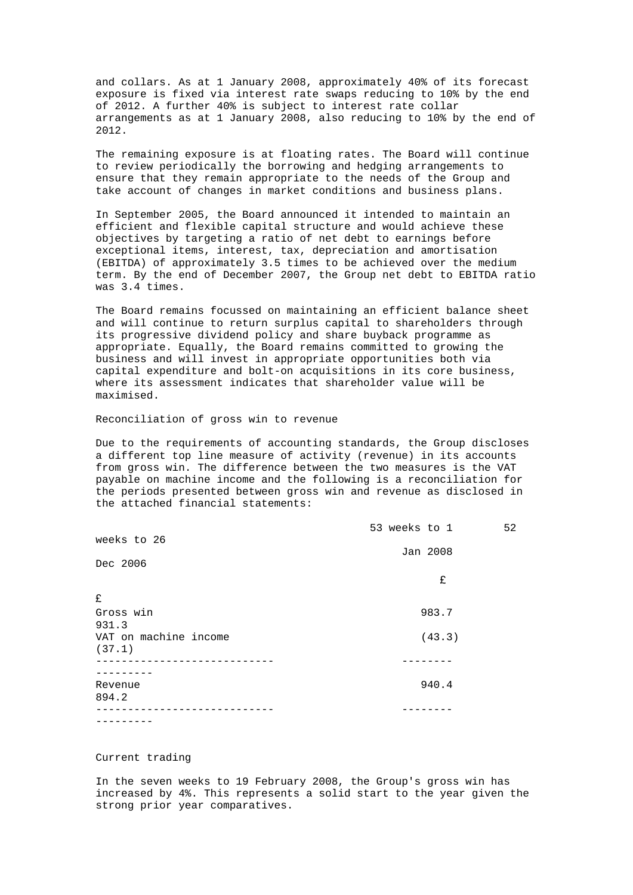and collars. As at 1 January 2008, approximately 40% of its forecast exposure is fixed via interest rate swaps reducing to 10% by the end of 2012. A further 40% is subject to interest rate collar arrangements as at 1 January 2008, also reducing to 10% by the end of 2012.

The remaining exposure is at floating rates. The Board will continue to review periodically the borrowing and hedging arrangements to ensure that they remain appropriate to the needs of the Group and take account of changes in market conditions and business plans.

In September 2005, the Board announced it intended to maintain an efficient and flexible capital structure and would achieve these objectives by targeting a ratio of net debt to earnings before exceptional items, interest, tax, depreciation and amortisation (EBITDA) of approximately 3.5 times to be achieved over the medium term. By the end of December 2007, the Group net debt to EBITDA ratio was 3.4 times.

The Board remains focussed on maintaining an efficient balance sheet and will continue to return surplus capital to shareholders through its progressive dividend policy and share buyback programme as appropriate. Equally, the Board remains committed to growing the business and will invest in appropriate opportunities both via capital expenditure and bolt-on acquisitions in its core business, where its assessment indicates that shareholder value will be maximised.

Reconciliation of gross win to revenue

Due to the requirements of accounting standards, the Group discloses a different top line measure of activity (revenue) in its accounts from gross win. The difference between the two measures is the VAT payable on machine income and the following is a reconciliation for the periods presented between gross win and revenue as disclosed in the attached financial statements:

|                       | 53 weeks to 1 |        | 52 |
|-----------------------|---------------|--------|----|
| weeks to 26           |               |        |    |
|                       | Jan 2008      |        |    |
| Dec 2006              |               |        |    |
|                       |               | £      |    |
| £                     |               |        |    |
| Gross win             |               | 983.7  |    |
| 931.3                 |               |        |    |
| VAT on machine income |               | (43.3) |    |
| (37.1)                |               |        |    |
|                       |               |        |    |
|                       |               |        |    |
| Revenue               |               | 940.4  |    |
| 894.2                 |               |        |    |
|                       |               |        |    |
|                       |               |        |    |

## Current trading

In the seven weeks to 19 February 2008, the Group's gross win has increased by 4%. This represents a solid start to the year given the strong prior year comparatives.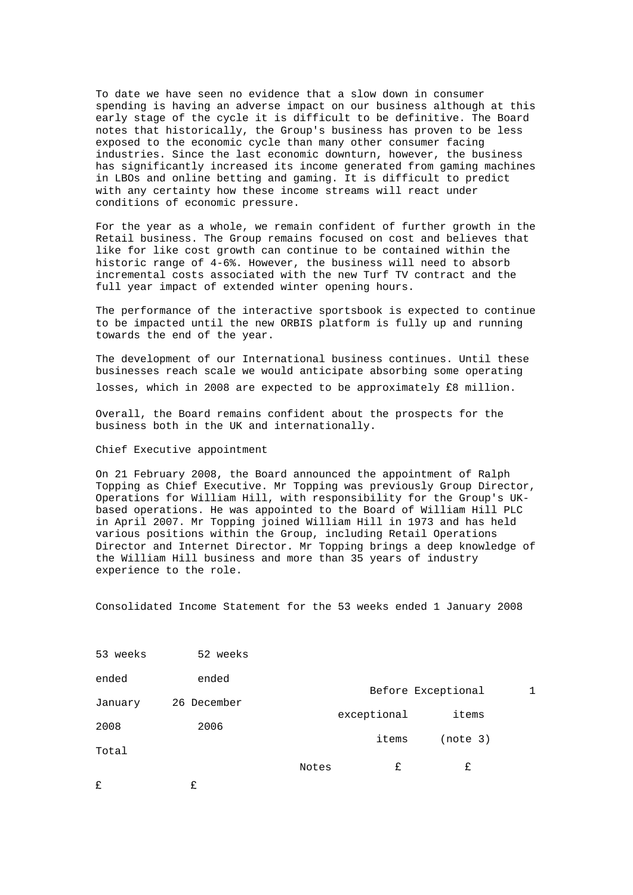To date we have seen no evidence that a slow down in consumer spending is having an adverse impact on our business although at this early stage of the cycle it is difficult to be definitive. The Board notes that historically, the Group's business has proven to be less exposed to the economic cycle than many other consumer facing industries. Since the last economic downturn, however, the business has significantly increased its income generated from gaming machines in LBOs and online betting and gaming. It is difficult to predict with any certainty how these income streams will react under conditions of economic pressure.

For the year as a whole, we remain confident of further growth in the Retail business. The Group remains focused on cost and believes that like for like cost growth can continue to be contained within the historic range of 4-6%. However, the business will need to absorb incremental costs associated with the new Turf TV contract and the full year impact of extended winter opening hours.

The performance of the interactive sportsbook is expected to continue to be impacted until the new ORBIS platform is fully up and running towards the end of the year.

The development of our International business continues. Until these businesses reach scale we would anticipate absorbing some operating losses, which in 2008 are expected to be approximately  $£8$  million.

Overall, the Board remains confident about the prospects for the business both in the UK and internationally.

## Chief Executive appointment

On 21 February 2008, the Board announced the appointment of Ralph Topping as Chief Executive. Mr Topping was previously Group Director, Operations for William Hill, with responsibility for the Group's UKbased operations. He was appointed to the Board of William Hill PLC in April 2007. Mr Topping joined William Hill in 1973 and has held various positions within the Group, including Retail Operations Director and Internet Director. Mr Topping brings a deep knowledge of the William Hill business and more than 35 years of industry experience to the role.

Consolidated Income Statement for the 53 weeks ended 1 January 2008

| £        | £           |       |             |                    |  |
|----------|-------------|-------|-------------|--------------------|--|
|          |             | Notes | £           | £                  |  |
| Total    |             |       |             |                    |  |
| 2008     | 2006        |       | items       | (note 3)           |  |
|          |             |       | exceptional | items              |  |
| January  | 26 December |       |             | Before Exceptional |  |
| ended    | ended       |       |             |                    |  |
| 53 weeks | 52 weeks    |       |             |                    |  |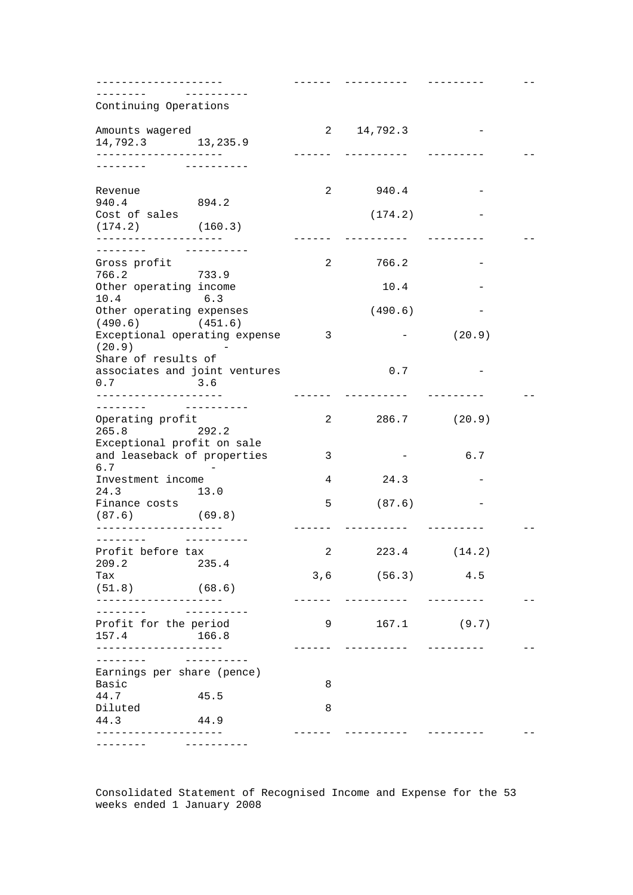| -------------------                                            |        |                |                            |              |  |
|----------------------------------------------------------------|--------|----------------|----------------------------|--------------|--|
| _______<br>Continuing Operations                               |        |                |                            |              |  |
| Amounts wagered                                                |        |                | 14,792.3<br>$2 \quad \Box$ |              |  |
| 14,792.3 13,235.9                                              |        |                |                            |              |  |
| -------------------<br>$- - - - - -$                           |        |                | ----------                 |              |  |
| Revenue                                                        |        | $\overline{a}$ | 940.4                      |              |  |
| 940.4                                                          | 894.2  |                |                            |              |  |
| Cost of sales<br>$(174.2)$ $(160.3)$                           |        |                | (174.2)                    |              |  |
| _____________________<br>_ _ _ _ _ _ _                         |        |                |                            |              |  |
| Gross profit                                                   |        | 2              | 766.2                      |              |  |
| 766.2                                                          | 733.9  |                |                            |              |  |
| Other operating income<br>10.4<br>6.3                          |        |                | 10.4                       |              |  |
| Other operating expenses                                       |        |                | (490.6)                    |              |  |
| $(490.6)$ $(451.6)$<br>Exceptional operating expense<br>(20.9) |        | $\sim$ 3       |                            | (20.9)       |  |
| Share of results of<br>associates and joint ventures<br>0.7    | 3.6    |                | 0.7                        |              |  |
| . <u>_ _ _ _ _ _ _ _ _ _ _ _ _ _ _ _ _</u> _ _                 |        |                |                            |              |  |
| Operating profit                                               |        | 2              |                            | 286.7 (20.9) |  |
| 265.8                                                          | 292.2  |                |                            |              |  |
| Exceptional profit on sale<br>and leaseback of properties      |        | 3              |                            | 6.7          |  |
| 6.7<br>Investment income                                       |        | 4              | 24.3                       |              |  |
| 24.3                                                           | 13.0   |                |                            |              |  |
| Finance costs<br>$(87.6)$ (69.8)                               |        | 5              | (87.6)                     |              |  |
| ------------------                                             |        |                |                            |              |  |
| Profit before tax<br>209.2                                     | 235.4  | $\mathbf{2}$   | 223.4                      | (14.2)       |  |
| Tax<br>(51.8)                                                  | (68.6) |                | $3,6$ (56.3)               | 4.5          |  |
|                                                                |        |                |                            |              |  |
| --------<br>Profit for the period<br>157.4                     | 166.8  | 9              | 167.1                      | (9.7)        |  |
| -----------------<br>-------                                   |        |                | ----------                 |              |  |
| Earnings per share (pence)<br>Basic                            |        | 8              |                            |              |  |
| 44.7                                                           | 45.5   |                |                            |              |  |
| Diluted<br>44.3                                                | 44.9   | 8              |                            |              |  |
|                                                                |        |                |                            |              |  |

Consolidated Statement of Recognised Income and Expense for the 53 weeks ended 1 January 2008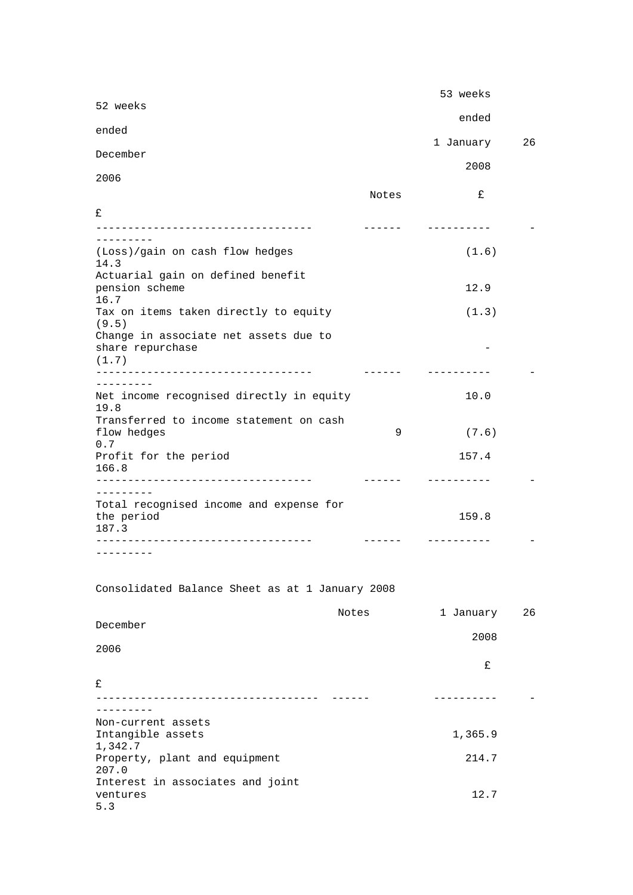|                                                                |                 | 53 weeks          |    |
|----------------------------------------------------------------|-----------------|-------------------|----|
| 52 weeks                                                       |                 | ended             |    |
| ended                                                          |                 | 1 January         | 26 |
| December                                                       |                 |                   |    |
| 2006                                                           |                 | 2008              |    |
|                                                                | Notes           | £                 |    |
| £                                                              |                 |                   |    |
| ----------------------------------                             | -------         | ----------        |    |
| (Loss)/gain on cash flow hedges<br>14.3                        |                 | (1.6)             |    |
| Actuarial gain on defined benefit                              |                 |                   |    |
| pension scheme<br>16.7                                         |                 | 12.9              |    |
| Tax on items taken directly to equity<br>(9.5)                 |                 | (1.3)             |    |
| Change in associate net assets due to<br>share repurchase      |                 |                   |    |
| (1.7)<br>-------------------------------                       | $- - - - - - -$ | ----------        |    |
| ---------                                                      |                 |                   |    |
| Net income recognised directly in equity<br>19.8               |                 | 10.0              |    |
| Transferred to income statement on cash<br>flow hedges         | 9               | (7.6)             |    |
| 0.7<br>Profit for the period<br>166.8                          |                 | 157.4             |    |
| ----------------------------------                             | $- - - - - - -$ | ----------        |    |
| ---------                                                      |                 |                   |    |
| Total recognised income and expense for<br>the period<br>187.3 |                 | 159.8             |    |
|                                                                |                 | ----------        |    |
| . <u>.</u>                                                     |                 |                   |    |
| Consolidated Balance Sheet as at 1 January 2008                |                 |                   |    |
|                                                                | Notes           | 1 January         | 26 |
| December                                                       |                 | 2008              |    |
| 2006                                                           |                 |                   |    |
|                                                                |                 | £                 |    |
| £                                                              |                 |                   |    |
| ---------------------------                                    |                 | - - - - - - - - - |    |
| --------                                                       |                 |                   |    |
| Non-current assets<br>Intangible assets<br>1,342.7             |                 | 1,365.9           |    |
| Property, plant and equipment                                  |                 | 214.7             |    |
| 207.0<br>Interest in associates and joint                      |                 |                   |    |
| ventures<br>5.3                                                |                 | 12.7              |    |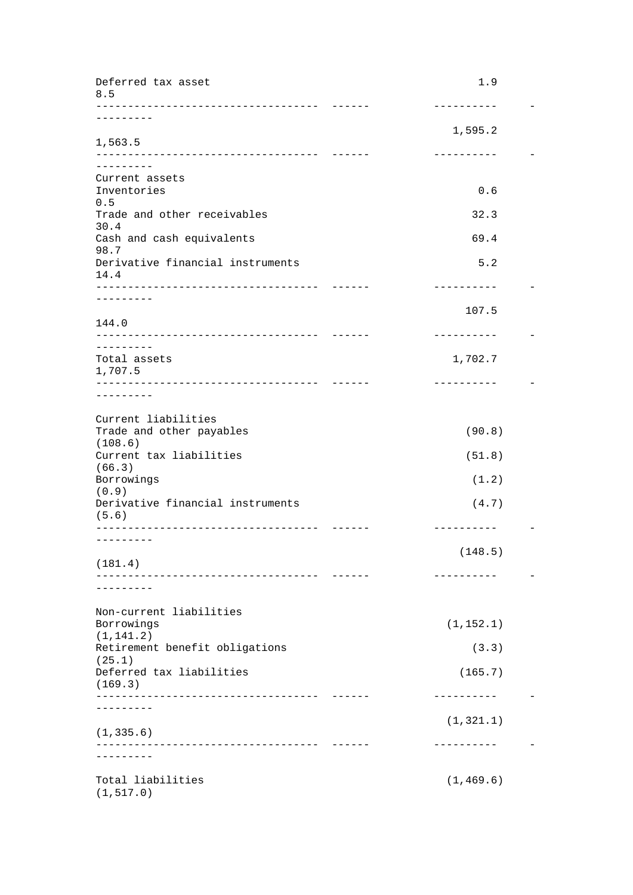| Deferred tax asset<br>8.5<br>----------------------        | 1.9                 |
|------------------------------------------------------------|---------------------|
| . <u>.</u>                                                 | .                   |
| 1,563.5                                                    | 1,595.2             |
| -------------------------------                            | ----------          |
| ---------<br>Current assets                                |                     |
| Inventories                                                | 0.6                 |
| 0.5<br>Trade and other receivables                         | 32.3                |
| 30.4                                                       |                     |
| Cash and cash equivalents<br>98.7                          | 69.4                |
| Derivative financial instruments<br>14.4                   | 5.2                 |
| --------                                                   | ----------          |
| 144.0                                                      | 107.5               |
| _________________________________                          | ----------          |
| .<br>Total assets                                          | 1,702.7             |
| 1,707.5                                                    |                     |
| --------------------------------<br>--------               | ----------          |
|                                                            |                     |
| Current liabilities<br>Trade and other payables<br>(108.6) | (90.8)              |
| Current tax liabilities                                    | (51.8)              |
| (66.3)<br>Borrowings                                       | (1.2)               |
| (0.9)                                                      |                     |
| Derivative financial instruments<br>(5.6)                  | (4.7)<br>---------- |
| --------                                                   |                     |
| (181.4)                                                    | (148.5)             |
|                                                            | --------            |
|                                                            |                     |
| Non-current liabilities                                    |                     |
| Borrowings<br>(1, 141.2)                                   | (1, 152.1)          |
| Retirement benefit obligations<br>(25.1)                   | (3.3)               |
| Deferred tax liabilities                                   | (165.7)             |
| (169.3)                                                    |                     |
|                                                            |                     |
| (1, 335.6)                                                 | (1, 321.1)          |
|                                                            | . <u>.</u> .        |
| .                                                          |                     |
| Total liabilities<br>(1, 517.0)                            | (1, 469.6)          |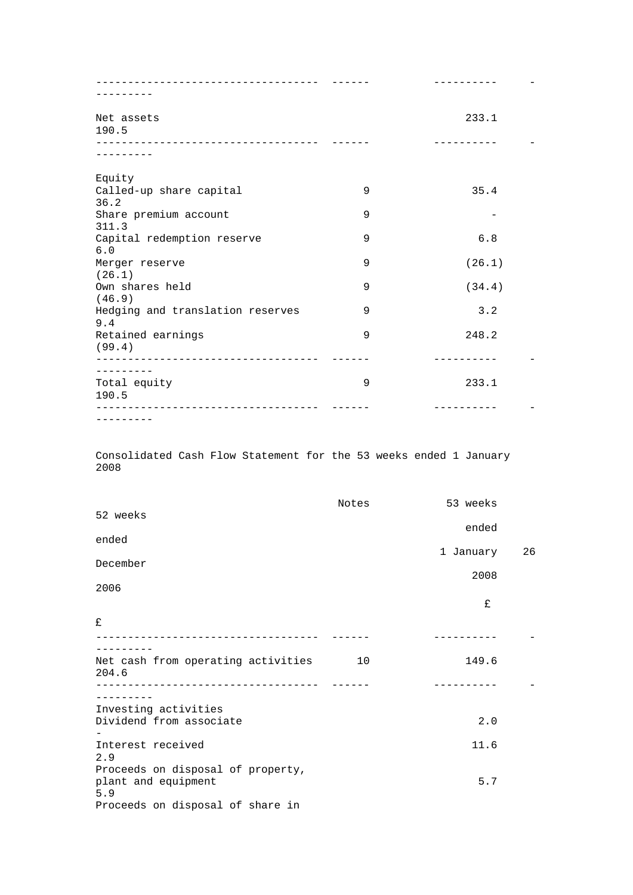| Net assets                                  |   | 233.1  |
|---------------------------------------------|---|--------|
| 190.5                                       |   |        |
| _________________________________           |   |        |
| Equity                                      |   |        |
| Called-up share capital<br>36.2             | 9 | 35.4   |
| Share premium account                       | 9 |        |
| 311.3                                       |   |        |
| Capital redemption reserve<br>6.0           | 9 | 6.8    |
| Merger reserve                              | 9 | (26.1) |
| (26.1)                                      |   |        |
| Own shares held<br>(46.9)                   | 9 | (34.4) |
| Hedging and translation reserves<br>9.4     | 9 | 3.2    |
| Retained earnings                           | 9 | 248.2  |
| (99.4)<br>--------------------------------- |   |        |
| ----------                                  |   |        |
| Total equity<br>190.5                       | 9 | 233.1  |
|                                             |   |        |
| ---------                                   |   |        |

Consolidated Cash Flow Statement for the 53 weeks ended 1 January 2008

|                                                                 | Notes | 53 weeks  |    |
|-----------------------------------------------------------------|-------|-----------|----|
| 52 weeks                                                        |       | ended     |    |
| ended                                                           |       |           |    |
| December                                                        |       | 1 January | 26 |
|                                                                 |       | 2008      |    |
| 2006                                                            |       |           |    |
|                                                                 |       | £         |    |
| £                                                               |       |           |    |
|                                                                 |       |           |    |
| Net cash from operating activities<br>204.6                     | 10    | 149.6     |    |
|                                                                 |       |           |    |
| Investing activities                                            |       |           |    |
| Dividend from associate                                         |       | 2.0       |    |
| Interest received<br>2.9                                        |       | 11.6      |    |
| Proceeds on disposal of property,<br>plant and equipment<br>5.9 |       | 5.7       |    |
| Proceeds on disposal of share in                                |       |           |    |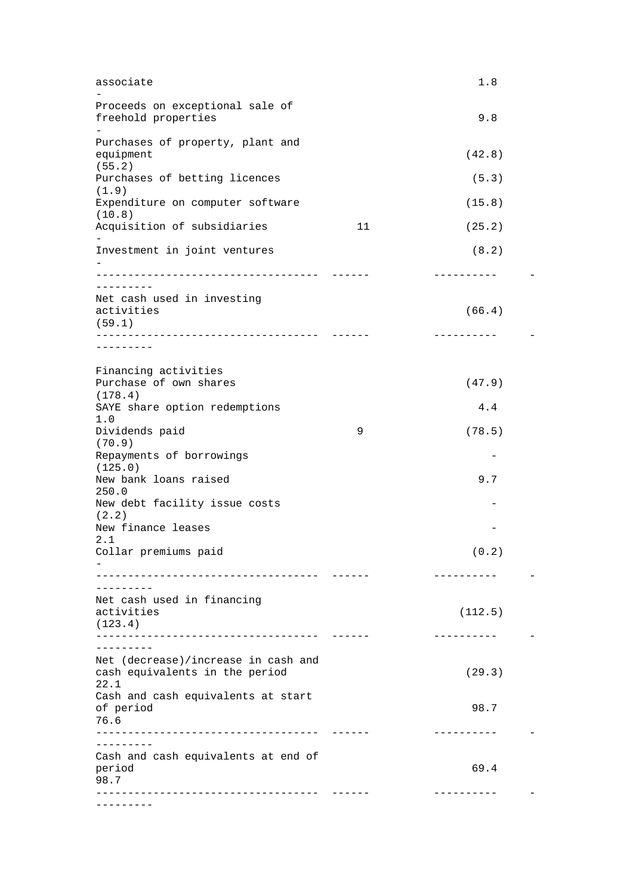| associate                                      |                 | 1.8        |  |
|------------------------------------------------|-----------------|------------|--|
|                                                |                 |            |  |
| Proceeds on exceptional sale of                |                 |            |  |
| freehold properties                            |                 | 9.8        |  |
| Purchases of property, plant and               |                 |            |  |
| equipment                                      |                 | (42.8)     |  |
| (55.2)                                         |                 |            |  |
| Purchases of betting licences                  |                 | (5.3)      |  |
| (1.9)<br>Expenditure on computer software      |                 | (15.8)     |  |
| (10.8)                                         |                 |            |  |
| Acquisition of subsidiaries                    | 11              | (25.2)     |  |
| Investment in joint ventures                   |                 | (8.2)      |  |
|                                                |                 |            |  |
| ------------------------------------           |                 | ---------- |  |
| ---------                                      |                 |            |  |
| Net cash used in investing                     |                 | (66.4)     |  |
| activities<br>(59.1)                           |                 |            |  |
| _____________________________                  |                 |            |  |
|                                                |                 |            |  |
|                                                |                 |            |  |
| Financing activities<br>Purchase of own shares |                 |            |  |
| (178.4)                                        |                 | (47.9)     |  |
| SAYE share option redemptions                  |                 | 4.4        |  |
| 1.0                                            |                 |            |  |
| Dividends paid                                 | 9               | (78.5)     |  |
| (70.9)                                         |                 |            |  |
| Repayments of borrowings<br>(125.0)            |                 |            |  |
| New bank loans raised                          |                 | 9.7        |  |
| 250.0                                          |                 |            |  |
| New debt facility issue costs                  |                 |            |  |
| (2.2)                                          |                 |            |  |
| New finance leases<br>2.1                      |                 |            |  |
| Collar premiums paid                           |                 | (0.2)      |  |
|                                                |                 |            |  |
| ____________________________                   |                 | ---------- |  |
|                                                |                 |            |  |
| Net cash used in financing<br>activities       |                 | (112.5)    |  |
| (123.4)                                        |                 |            |  |
| ------------------------------                 | $- - - - - - -$ | ---------- |  |
|                                                |                 |            |  |
| Net (decrease)/increase in cash and            |                 |            |  |
| cash equivalents in the period<br>22.1         |                 | (29.3)     |  |
| Cash and cash equivalents at start             |                 |            |  |
| of period                                      |                 | 98.7       |  |
| 76.6                                           |                 |            |  |
| -----------------------------------            |                 | ---------- |  |
| . <u>.</u> .                                   |                 |            |  |
| Cash and cash equivalents at end of<br>period  |                 | 69.4       |  |
| 98.7                                           |                 |            |  |
|                                                |                 | ---------- |  |
|                                                |                 |            |  |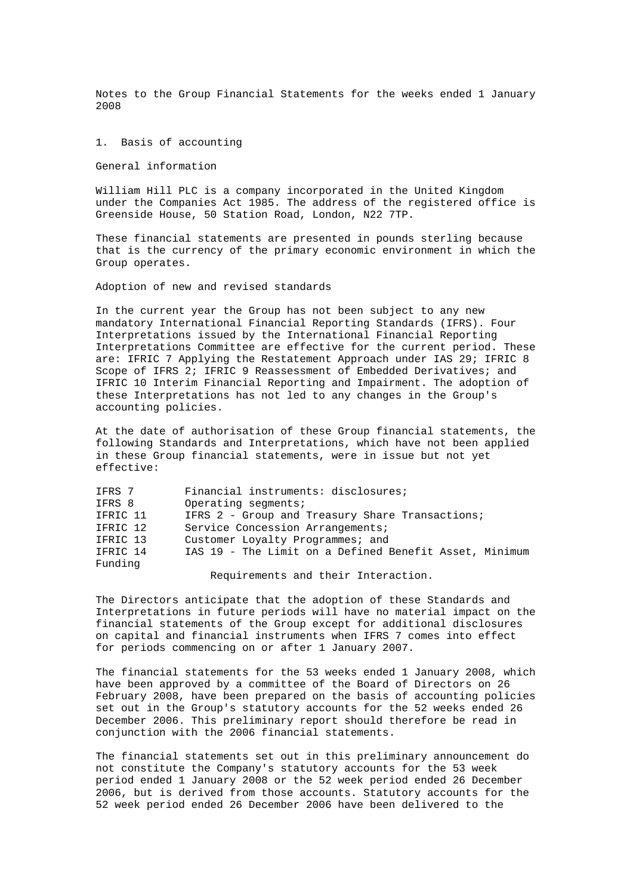Notes to the Group Financial Statements for the weeks ended 1 January 2008

1. Basis of accounting

General information

William Hill PLC is a company incorporated in the United Kingdom under the Companies Act 1985. The address of the registered office is Greenside House, 50 Station Road, London, N22 7TP.

These financial statements are presented in pounds sterling because that is the currency of the primary economic environment in which the Group operates.

Adoption of new and revised standards

In the current year the Group has not been subject to any new mandatory International Financial Reporting Standards (IFRS). Four Interpretations issued by the International Financial Reporting Interpretations Committee are effective for the current period. These are: IFRIC 7 Applying the Restatement Approach under IAS 29; IFRIC 8 Scope of IFRS 2; IFRIC 9 Reassessment of Embedded Derivatives; and IFRIC 10 Interim Financial Reporting and Impairment. The adoption of these Interpretations has not led to any changes in the Group's accounting policies.

At the date of authorisation of these Group financial statements, the following Standards and Interpretations, which have not been applied in these Group financial statements, were in issue but not yet effective:

| IFRS 7   | Financial instruments: disclosures;                    |
|----------|--------------------------------------------------------|
| IFRS 8   | Operating segments;                                    |
| IFRIC 11 | IFRS 2 - Group and Treasury Share Transactions;        |
| IFRIC 12 | Service Concession Arrangements;                       |
| IFRIC 13 | Customer Loyalty Programmes; and                       |
| IFRIC 14 | IAS 19 - The Limit on a Defined Benefit Asset, Minimum |
| Funding  |                                                        |
|          |                                                        |

Requirements and their Interaction.

The Directors anticipate that the adoption of these Standards and Interpretations in future periods will have no material impact on the financial statements of the Group except for additional disclosures on capital and financial instruments when IFRS 7 comes into effect for periods commencing on or after 1 January 2007.

The financial statements for the 53 weeks ended 1 January 2008, which have been approved by a committee of the Board of Directors on 26 February 2008, have been prepared on the basis of accounting policies set out in the Group's statutory accounts for the 52 weeks ended 26 December 2006. This preliminary report should therefore be read in conjunction with the 2006 financial statements.

The financial statements set out in this preliminary announcement do not constitute the Company's statutory accounts for the 53 week period ended 1 January 2008 or the 52 week period ended 26 December 2006, but is derived from those accounts. Statutory accounts for the 52 week period ended 26 December 2006 have been delivered to the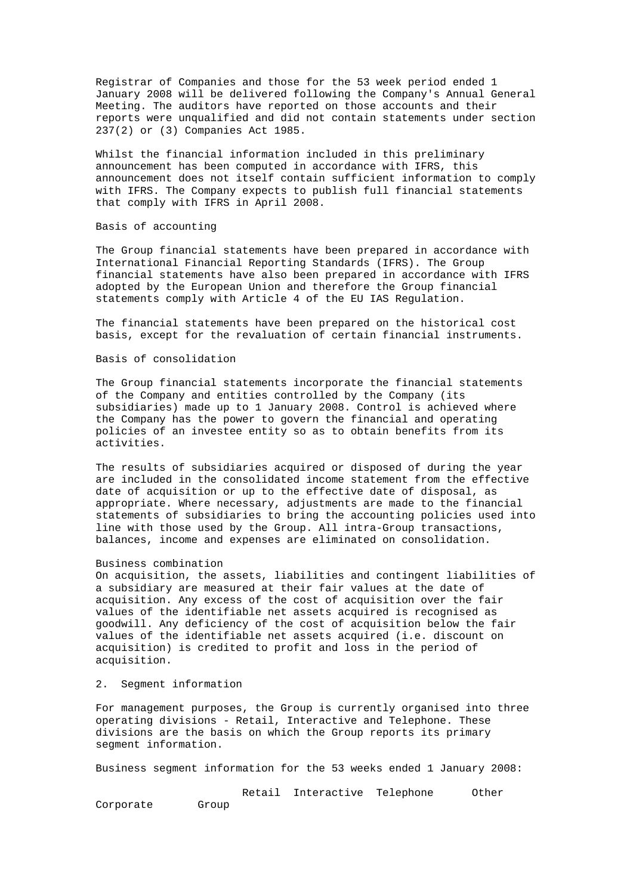Registrar of Companies and those for the 53 week period ended 1 January 2008 will be delivered following the Company's Annual General Meeting. The auditors have reported on those accounts and their reports were unqualified and did not contain statements under section 237(2) or (3) Companies Act 1985.

Whilst the financial information included in this preliminary announcement has been computed in accordance with IFRS, this announcement does not itself contain sufficient information to comply with IFRS. The Company expects to publish full financial statements that comply with IFRS in April 2008.

# Basis of accounting

The Group financial statements have been prepared in accordance with International Financial Reporting Standards (IFRS). The Group financial statements have also been prepared in accordance with IFRS adopted by the European Union and therefore the Group financial statements comply with Article 4 of the EU IAS Regulation.

The financial statements have been prepared on the historical cost basis, except for the revaluation of certain financial instruments.

## Basis of consolidation

The Group financial statements incorporate the financial statements of the Company and entities controlled by the Company (its subsidiaries) made up to 1 January 2008. Control is achieved where the Company has the power to govern the financial and operating policies of an investee entity so as to obtain benefits from its activities.

The results of subsidiaries acquired or disposed of during the year are included in the consolidated income statement from the effective date of acquisition or up to the effective date of disposal, as appropriate. Where necessary, adjustments are made to the financial statements of subsidiaries to bring the accounting policies used into line with those used by the Group. All intra-Group transactions, balances, income and expenses are eliminated on consolidation.

### Business combination

On acquisition, the assets, liabilities and contingent liabilities of a subsidiary are measured at their fair values at the date of acquisition. Any excess of the cost of acquisition over the fair values of the identifiable net assets acquired is recognised as goodwill. Any deficiency of the cost of acquisition below the fair values of the identifiable net assets acquired (i.e. discount on acquisition) is credited to profit and loss in the period of acquisition.

### 2. Segment information

For management purposes, the Group is currently organised into three operating divisions - Retail, Interactive and Telephone. These divisions are the basis on which the Group reports its primary segment information.

Business segment information for the 53 weeks ended 1 January 2008:

 Retail Interactive Telephone Other Corporate Group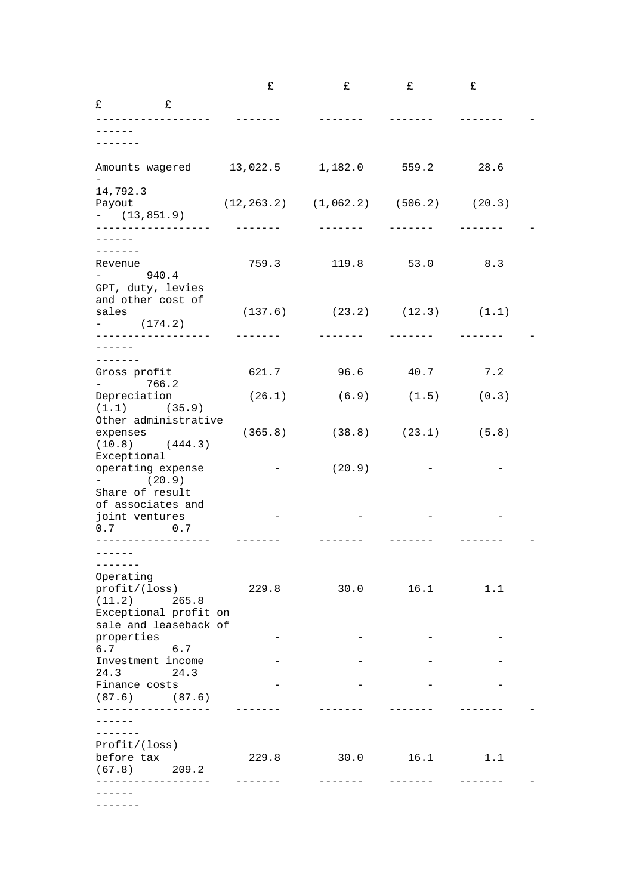|                                                                                           |       | £               | £                                                        | £                 | £     |  |
|-------------------------------------------------------------------------------------------|-------|-----------------|----------------------------------------------------------|-------------------|-------|--|
| £<br>£<br>--------------                                                                  |       |                 |                                                          |                   |       |  |
|                                                                                           |       |                 |                                                          |                   |       |  |
|                                                                                           |       |                 |                                                          |                   |       |  |
| Amounts wagered 13,022.5                                                                  |       |                 | 1,182.0                                                  | 559.2             | 28.6  |  |
| 14,792.3<br>Payout<br>$-$ (13,851.9)<br>------------------                                |       |                 | $(12, 263.2)$ $(1, 062.2)$ $(506.2)$ $(20.3)$<br>------- | $- - - - - - - -$ |       |  |
| $- - - - -$<br>-------<br>Revenue<br>940.4<br>$\mathbf{r} = \mathbf{r} \times \mathbf{r}$ |       | 759.3           |                                                          | 119.8 53.0        | 8.3   |  |
| GPT, duty, levies<br>and other cost of<br>sales<br>$-$ (174.2)                            |       |                 | $(137.6)$ $(23.2)$ $(12.3)$ $(1.1)$                      |                   |       |  |
| ------------------<br>- - - - - -                                                         |       | $- - - - - - -$ |                                                          |                   |       |  |
| -------<br>Gross profit<br>$-766.2$                                                       |       | 621.7           | 96.6                                                     | 40.7              | 7.2   |  |
| Depreciation<br>$(1.1)$ $(35.9)$                                                          |       | (26.1)          |                                                          | $(6.9)$ $(1.5)$   | (0.3) |  |
| Other administrative<br>expenses<br>$(10.8)$ $(444.3)$                                    |       |                 | $(365.8)$ $(38.8)$ $(23.1)$ $(5.8)$                      |                   |       |  |
| Exceptional<br>operating expense<br>$-$ (20.9)                                            |       |                 | (20.9)                                                   |                   |       |  |
| Share of result<br>of associates and<br>joint ventures<br>$0.7$ 0.7                       |       |                 |                                                          |                   |       |  |
|                                                                                           |       |                 |                                                          |                   |       |  |
| Operating<br>profit/(loss)<br>(11.2)<br>Exceptional profit on                             | 265.8 | 229.8           |                                                          | $30.0$ 16.1       | 1.1   |  |
| sale and leaseback of<br>properties                                                       |       |                 |                                                          |                   |       |  |
| 6.7 6.7<br>Investment income                                                              |       |                 |                                                          |                   |       |  |
| 24.3<br>Finance costs<br>$(87.6)$ $(87.6)$                                                | 24.3  |                 |                                                          |                   |       |  |
| -------------------<br>-------<br>Profit/(loss)<br>before tax                             |       | 229.8           | 30.0                                                     | 16.1              | 1.1   |  |
| (67.8)<br>209.2                                                                           |       |                 |                                                          |                   |       |  |

-------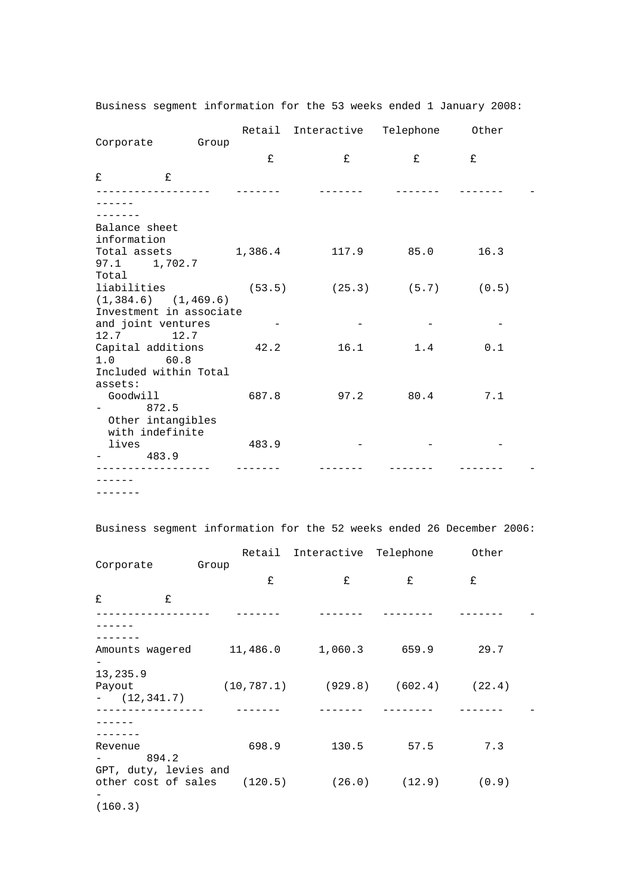Business segment information for the 53 weeks ended 1 January 2008:

|                         |                         |       | Retail Interactive Telephone Other |           |      |  |
|-------------------------|-------------------------|-------|------------------------------------|-----------|------|--|
| Corporate Group         |                         |       |                                    |           |      |  |
|                         |                         | £     | £                                  | £         | £    |  |
| £                       | £                       |       |                                    |           |      |  |
|                         |                         |       |                                    |           |      |  |
|                         |                         |       |                                    |           |      |  |
|                         |                         |       |                                    |           |      |  |
| Balance sheet           |                         |       |                                    |           |      |  |
| information             |                         |       |                                    |           | 16.3 |  |
| 97.1 1,702.7            |                         |       |                                    |           |      |  |
| Total                   |                         |       |                                    |           |      |  |
| liabilities             |                         |       | $(53.5)$ $(25.3)$ $(5.7)$ $(0.5)$  |           |      |  |
| $(1,384.6)$ $(1,469.6)$ |                         |       |                                    |           |      |  |
|                         | Investment in associate |       |                                    |           |      |  |
| and joint ventures      |                         |       |                                    |           |      |  |
| $12.7$ 12.7             |                         |       |                                    |           |      |  |
| Capital additions 42.2  |                         |       | 16.1                               | 1.4       | 0.1  |  |
| $1.0$ 60.8              |                         |       |                                    |           |      |  |
| Included within Total   |                         |       |                                    |           |      |  |
| assets:                 |                         |       |                                    |           |      |  |
| Goodwill                |                         | 687.8 |                                    | 97.2 80.4 | 7.1  |  |
| 872.5                   |                         |       |                                    |           |      |  |
| Other intangibles       |                         |       |                                    |           |      |  |
| with indefinite         |                         |       |                                    |           |      |  |
| lives                   |                         | 483.9 |                                    |           |      |  |
| 483.9                   |                         |       |                                    |           |      |  |
|                         |                         |       |                                    |           |      |  |
|                         |                         |       |                                    |           |      |  |

-------

Business segment information for the 52 weeks ended 26 December 2006:

|                                                      |       |       | Retail Interactive Telephone               |                           | Other |  |
|------------------------------------------------------|-------|-------|--------------------------------------------|---------------------------|-------|--|
| Corporate                                            | Group |       |                                            |                           |       |  |
|                                                      |       | £     | £                                          | £                         | £     |  |
| £<br>£                                               |       |       |                                            |                           |       |  |
|                                                      |       |       |                                            |                           |       |  |
|                                                      |       |       |                                            |                           |       |  |
| Amounts wagered 11,486.0                             |       |       |                                            | 1,060.3 659.9             | 29.7  |  |
| 13,235.9<br>Payout<br>$ (12, 341.7)$                 |       |       | $(10, 787.1)$ $(929.8)$ $(602.4)$ $(22.4)$ |                           |       |  |
|                                                      |       |       |                                            |                           |       |  |
|                                                      |       |       |                                            |                           |       |  |
| Revenue<br>894.2                                     |       | 698.9 | 130.5                                      | 57.5                      | 7.3   |  |
| GPT, duty, levies and<br>other cost of sales (120.5) |       |       |                                            | $(26.0)$ $(12.9)$ $(0.9)$ |       |  |
| (160.3)                                              |       |       |                                            |                           |       |  |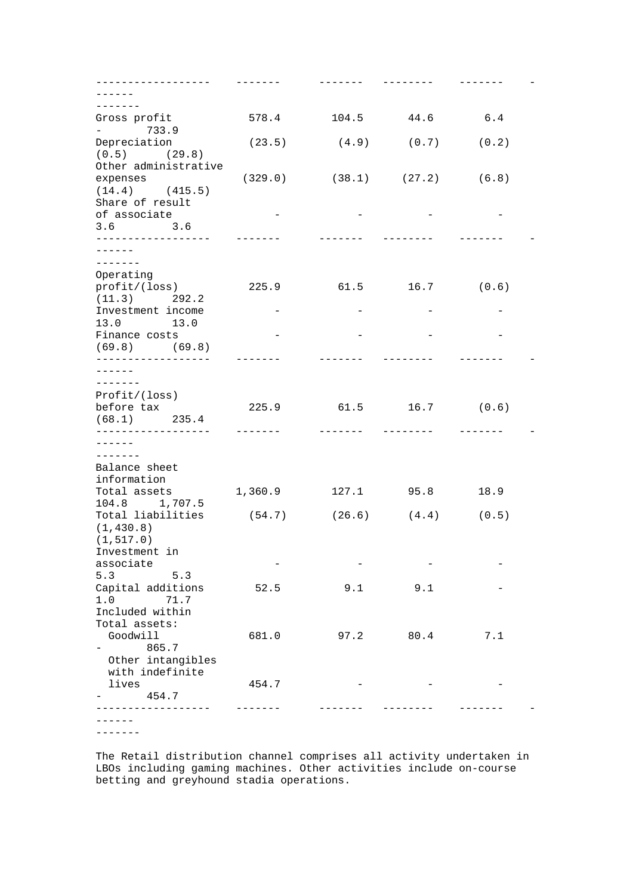| -----------------                                   |                   |         |                           |       |  |
|-----------------------------------------------------|-------------------|---------|---------------------------|-------|--|
| $- - - - -$                                         |                   |         |                           |       |  |
| -------                                             |                   |         |                           |       |  |
|                                                     |                   |         | 44.6                      |       |  |
| Gross profit                                        | 578.4             | 104.5   |                           | 6.4   |  |
| $-733.9$                                            |                   |         |                           |       |  |
| Depreciation                                        | (23.5)            |         | $(4.9)$ $(0.7)$           | (0.2) |  |
| $(0.5)$ $(29.8)$                                    |                   |         |                           |       |  |
| Other administrative                                |                   |         |                           |       |  |
| expenses                                            | (329.0)           |         | $(38.1)$ $(27.2)$ $(6.8)$ |       |  |
|                                                     |                   |         |                           |       |  |
| $(14.4)$ $(415.5)$                                  |                   |         |                           |       |  |
| Share of result                                     |                   |         |                           |       |  |
| of associate                                        | $\qquad \qquad -$ |         |                           |       |  |
| $3.6$ $3.6$                                         |                   |         |                           |       |  |
| ------------------                                  |                   |         |                           |       |  |
|                                                     |                   |         |                           |       |  |
|                                                     |                   |         |                           |       |  |
| -------                                             |                   |         |                           |       |  |
| Operating                                           |                   |         |                           |       |  |
| profit/(loss)                                       | 225.9             |         | $61.5$ $16.7$ $(0.6)$     |       |  |
| $(11.3)$ 292.2                                      |                   |         |                           |       |  |
| Investment income                                   |                   |         |                           |       |  |
| 13.0 13.0                                           |                   |         |                           |       |  |
|                                                     |                   |         |                           |       |  |
| Finance costs                                       |                   |         |                           |       |  |
| $(69.8)$ $(69.8)$                                   |                   |         |                           |       |  |
|                                                     |                   |         |                           |       |  |
| ------                                              |                   |         |                           |       |  |
| -------                                             |                   |         |                           |       |  |
| Profit/(loss)                                       |                   |         |                           |       |  |
| before tax                                          |                   | 61.5    | $16.7$ (0.6)              |       |  |
|                                                     | 225.9             |         |                           |       |  |
| $(68.1)$ 235.4                                      |                   |         |                           |       |  |
|                                                     | -------           | ------- | --------                  |       |  |
| $- - - - - -$                                       |                   |         |                           |       |  |
| --------                                            |                   |         |                           |       |  |
| Balance sheet                                       |                   |         |                           |       |  |
| information                                         |                   |         |                           |       |  |
|                                                     |                   |         |                           |       |  |
| Total assets                                        | 1,360.9           |         | 127.1 95.8                | 18.9  |  |
| 104.8 1,707.5                                       |                   |         |                           |       |  |
| Total liabilities $(54.7)$ $(26.6)$ $(4.4)$ $(0.5)$ |                   |         |                           |       |  |
| (1, 430.8)                                          |                   |         |                           |       |  |
| (1, 517.0)                                          |                   |         |                           |       |  |
| Investment in                                       |                   |         |                           |       |  |
|                                                     |                   |         |                           |       |  |
| associate                                           |                   |         |                           |       |  |
| 5.3<br>5.3                                          |                   |         |                           |       |  |
| Capital additions                                   | 52.5              | 9.1     | 9.1                       |       |  |
| 1.0<br>71.7                                         |                   |         |                           |       |  |
| Included within                                     |                   |         |                           |       |  |
| Total assets:                                       |                   |         |                           |       |  |
|                                                     |                   |         |                           |       |  |
| Goodwill                                            | 681.0             | 97.2    | 80.4                      | 7.1   |  |
| 865.7                                               |                   |         |                           |       |  |
| Other intangibles                                   |                   |         |                           |       |  |
| with indefinite                                     |                   |         |                           |       |  |
| lives                                               | 454.7             |         |                           |       |  |
| 454.7                                               |                   |         |                           |       |  |
|                                                     |                   |         |                           |       |  |
|                                                     |                   |         |                           |       |  |
|                                                     |                   |         |                           |       |  |
|                                                     |                   |         |                           |       |  |

The Retail distribution channel comprises all activity undertaken in LBOs including gaming machines. Other activities include on-course betting and greyhound stadia operations.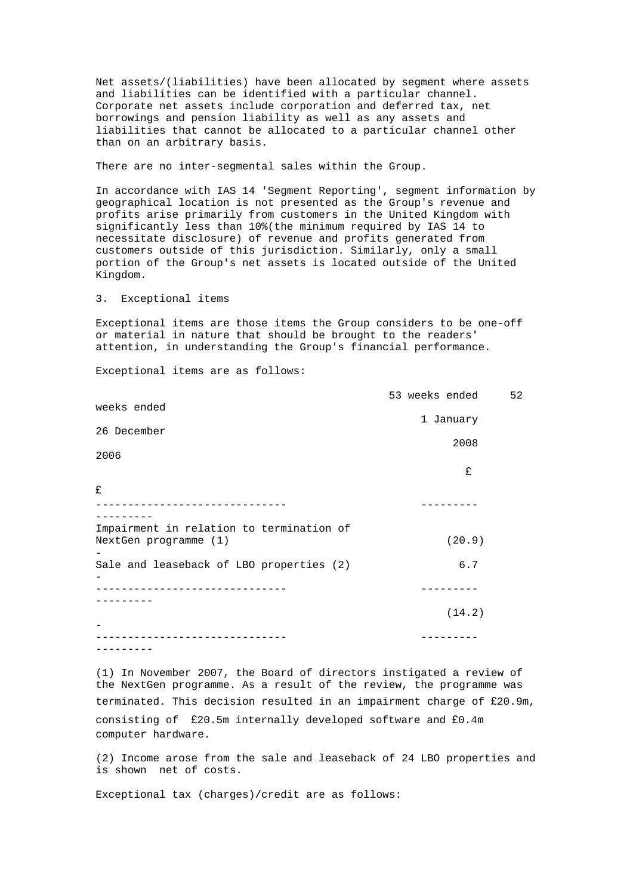Net assets/(liabilities) have been allocated by segment where assets and liabilities can be identified with a particular channel. Corporate net assets include corporation and deferred tax, net borrowings and pension liability as well as any assets and liabilities that cannot be allocated to a particular channel other than on an arbitrary basis.

There are no inter-segmental sales within the Group.

In accordance with IAS 14 'Segment Reporting', segment information by geographical location is not presented as the Group's revenue and profits arise primarily from customers in the United Kingdom with significantly less than 10%(the minimum required by IAS 14 to necessitate disclosure) of revenue and profits generated from customers outside of this jurisdiction. Similarly, only a small portion of the Group's net assets is located outside of the United Kingdom.

3. Exceptional items

Exceptional items are those items the Group considers to be one-off or material in nature that should be brought to the readers' attention, in understanding the Group's financial performance.

Exceptional items are as follows:

|                                                                   |  | 53 weeks ended | 52 |
|-------------------------------------------------------------------|--|----------------|----|
| weeks ended                                                       |  |                |    |
| 26 December                                                       |  | 1 January      |    |
|                                                                   |  | 2008           |    |
| 2006                                                              |  |                |    |
|                                                                   |  | £              |    |
| £                                                                 |  |                |    |
|                                                                   |  |                |    |
| Impairment in relation to termination of<br>NextGen programme (1) |  | (20.9)         |    |
| Sale and leaseback of LBO properties (2)                          |  | 6.7            |    |
|                                                                   |  |                |    |
|                                                                   |  | (14.2)         |    |
|                                                                   |  |                |    |
|                                                                   |  |                |    |

(1) In November 2007, the Board of directors instigated a review of the NextGen programme. As a result of the review, the programme was terminated. This decision resulted in an impairment charge of £20.9m, consisting of £20.5m internally developed software and £0.4m computer hardware.

(2) Income arose from the sale and leaseback of 24 LBO properties and is shown net of costs.

Exceptional tax (charges)/credit are as follows: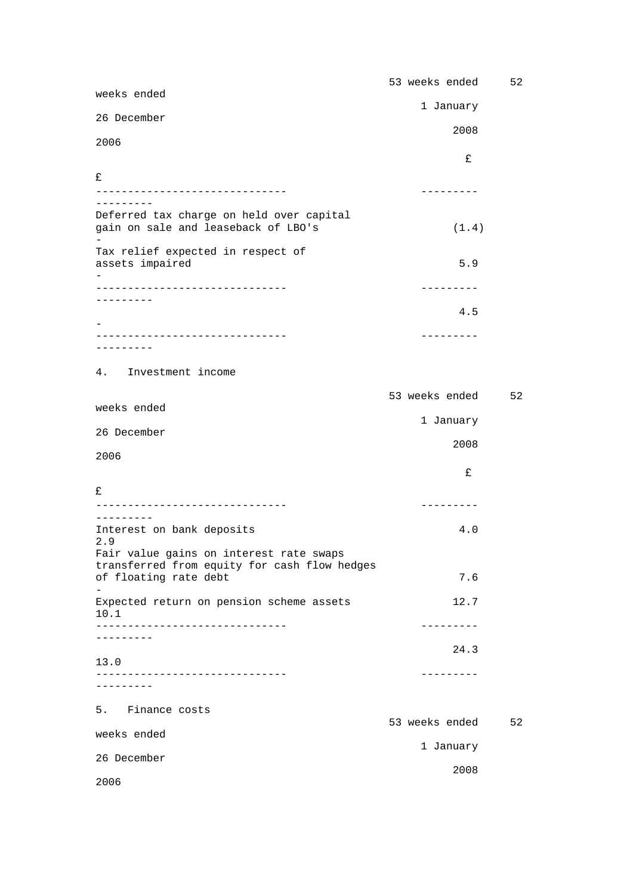| weeks ended                                                                                    | 53 weeks ended    | 52 |
|------------------------------------------------------------------------------------------------|-------------------|----|
| 26 December                                                                                    | 1 January         |    |
| 2006                                                                                           | 2008              |    |
|                                                                                                | £                 |    |
| £                                                                                              |                   |    |
|                                                                                                | ---------         |    |
| Deferred tax charge on held over capital<br>gain on sale and leaseback of LBO's                | (1.4)             |    |
| Tax relief expected in respect of<br>assets impaired                                           | 5.9               |    |
|                                                                                                | ---------         |    |
| --------                                                                                       | 4.5               |    |
|                                                                                                | ---------         |    |
| $- - - - - - - -$                                                                              |                   |    |
| 4. Investment income                                                                           |                   |    |
|                                                                                                | 53 weeks ended    | 52 |
| weeks ended                                                                                    | 1 January         |    |
| 26 December                                                                                    | 2008              |    |
| 2006                                                                                           |                   |    |
| £                                                                                              | £                 |    |
| _____________________________                                                                  | ---------         |    |
| ----------<br>Interest on bank deposits                                                        | 4.0               |    |
| 2.9<br>Fair value gains on interest rate swaps<br>transferred from equity for cash flow hedges |                   |    |
| of floating rate debt                                                                          | 7.6               |    |
| Expected return on pension scheme assets<br>10.1                                               | 12.7              |    |
| ------------------<br>-------                                                                  | . - - - - - - - - |    |
| 13.0                                                                                           | 24.3              |    |
|                                                                                                | ---------         |    |
| $-- - - - - - -$                                                                               |                   |    |
| Finance costs<br>5.                                                                            | 53 weeks ended    | 52 |
| weeks ended                                                                                    | 1 January         |    |
| 26 December                                                                                    | 2008              |    |
| 2006                                                                                           |                   |    |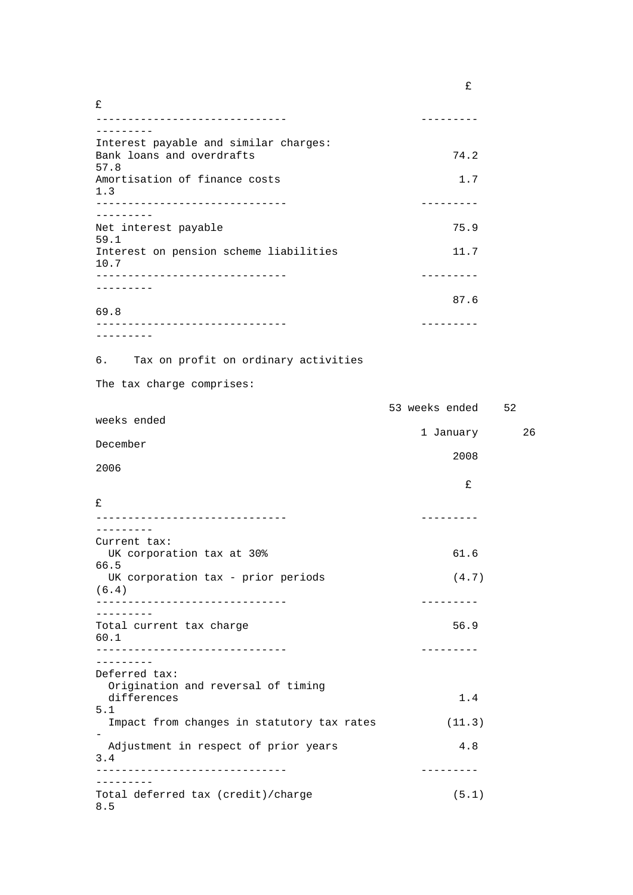| £                                                                  |                   |    |
|--------------------------------------------------------------------|-------------------|----|
| ---------------------------<br>.                                   | ---------         |    |
| Interest payable and similar charges:<br>Bank loans and overdrafts | 74.2              |    |
| 57.8<br>Amortisation of finance costs<br>1.3                       | 1.7               |    |
| ---------                                                          | ---------         |    |
| Net interest payable<br>59.1                                       | 75.9              |    |
| Interest on pension scheme liabilities<br>10.7                     | 11.7              |    |
| -----------------------------<br>--------                          | ---------         |    |
| 69.8                                                               | 87.6              |    |
|                                                                    | ---------         |    |
| ---------                                                          |                   |    |
| 6. Tax on profit on ordinary activities                            |                   |    |
| The tax charge comprises:                                          |                   |    |
|                                                                    | 53 weeks ended 52 |    |
| weeks ended                                                        | 1 January         | 26 |
| December                                                           |                   |    |
| 2006                                                               | 2008              |    |
|                                                                    | £                 |    |
| £                                                                  |                   |    |
| ---------------------------<br>. <u>.</u> .                        | ---------         |    |
| Current tax:                                                       |                   |    |
| UK corporation tax at 30%<br>66.5                                  | 61.6              |    |
| UK corporation tax - prior periods<br>(6.4)                        | (4.7)             |    |
| ----------------------------                                       | ---------         |    |
| .<br>Total current tax charge<br>60.1                              | 56.9              |    |
|                                                                    | ---------         |    |
| .<br>Deferred tax:                                                 |                   |    |
| Origination and reversal of timing<br>differences                  | 1.4               |    |
| 5.1<br>Impact from changes in statutory tax rates                  | (11.3)            |    |
| Adjustment in respect of prior years                               | 4.8               |    |
| 3.4                                                                |                   |    |
| .                                                                  | ---------         |    |
| Total deferred tax (credit)/charge<br>8.5                          | (5.1)             |    |

£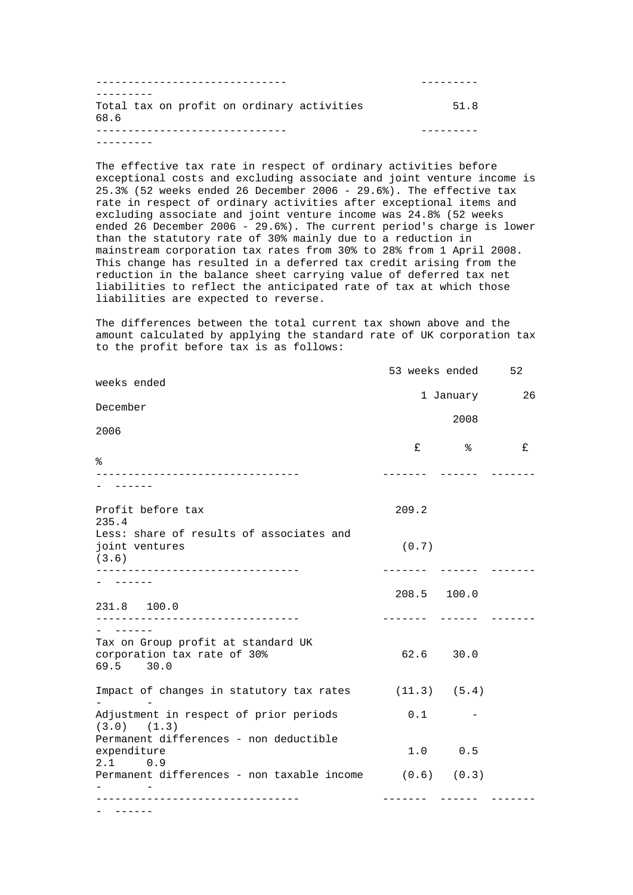| Total tax on profit on ordinary activities | 51 R |
|--------------------------------------------|------|
| 68.6                                       |      |
|                                            |      |
|                                            |      |

The effective tax rate in respect of ordinary activities before exceptional costs and excluding associate and joint venture income is 25.3% (52 weeks ended 26 December 2006 - 29.6%). The effective tax rate in respect of ordinary activities after exceptional items and excluding associate and joint venture income was 24.8% (52 weeks ended 26 December 2006 - 29.6%). The current period's charge is lower than the statutory rate of 30% mainly due to a reduction in mainstream corporation tax rates from 30% to 28% from 1 April 2008. This change has resulted in a deferred tax credit arising from the reduction in the balance sheet carrying value of deferred tax net liabilities to reflect the anticipated rate of tax at which those liabilities are expected to reverse.

The differences between the total current tax shown above and the amount calculated by applying the standard rate of UK corporation tax to the profit before tax is as follows:

| weeks ended                                                                                         |             | 53 weeks ended | 52 |
|-----------------------------------------------------------------------------------------------------|-------------|----------------|----|
|                                                                                                     |             | 1 January      | 26 |
| December                                                                                            |             | 2008           |    |
| 2006                                                                                                |             |                |    |
|                                                                                                     | £           | ⊱              | £  |
| ి                                                                                                   |             |                |    |
|                                                                                                     |             |                |    |
| Profit before tax<br>235.4                                                                          | 209.2       |                |    |
| Less: share of results of associates and<br>joint ventures<br>(3.6)<br>____________________________ | (0.7)       |                |    |
| 231.8 100.0                                                                                         | 208.5 100.0 |                |    |
| $- - - - - -$                                                                                       |             |                |    |
| Tax on Group profit at standard UK<br>corporation tax rate of 30%<br>69.5 30.0                      |             | 62.6 30.0      |    |
| Impact of changes in statutory tax rates (11.3) (5.4)                                               |             |                |    |
| Adjustment in respect of prior periods<br>$(3.0)$ $(1.3)$                                           | 0.1         |                |    |
| Permanent differences - non deductible<br>expenditure<br>2.1<br>0.9                                 |             | 1.0 0.5        |    |
| Permanent differences - non taxable income (0.6) (0.3)                                              |             |                |    |
| -------------------------------                                                                     |             |                |    |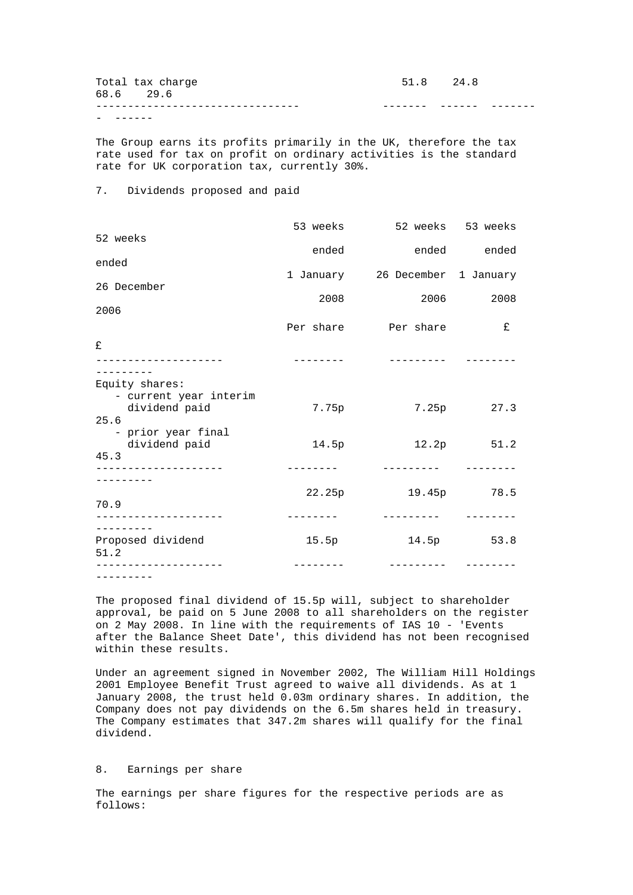| $\overline{\phantom{a}}$ |                  |           |  |
|--------------------------|------------------|-----------|--|
|                          |                  |           |  |
|                          | 68.6 29.6        |           |  |
|                          | Total tax charge | 51.8 24.8 |  |

The Group earns its profits primarily in the UK, therefore the tax rate used for tax on profit on ordinary activities is the standard rate for UK corporation tax, currently 30%.

## 7. Dividends proposed and paid

|                                                 |           | 53 weeks 52 weeks 53 weeks      |             |
|-------------------------------------------------|-----------|---------------------------------|-------------|
| 52 weeks                                        | ended     |                                 | ended ended |
| ended                                           |           |                                 |             |
| 26 December                                     |           | 1 January 26 December 1 January |             |
| 2006                                            | 2008      | 2006 — 100                      | 2008        |
|                                                 |           | Per share Der share             | £           |
| £                                               |           |                                 |             |
| Equity shares:                                  |           |                                 |             |
| - current year interim<br>dividend paid<br>25.6 | 7.75p     |                                 | 7.25p 27.3  |
| - prior year final<br>dividend paid<br>45.3     | 14.5p     |                                 | 12.2p 51.2  |
| . _ _ _ _ _ _ _ _ _ _ _ _ _ _ _ _ _             |           | __________                      |             |
| 70.9                                            | 22.25p    | 19.45p 78.5                     |             |
| ------------------                              | --------- |                                 |             |
| Proposed dividend<br>51.2                       | 15.5p     |                                 | 14.5p 53.8  |
| ------------------<br>---------                 |           | ---------                       |             |

The proposed final dividend of 15.5p will, subject to shareholder approval, be paid on 5 June 2008 to all shareholders on the register on 2 May 2008. In line with the requirements of IAS 10 - 'Events after the Balance Sheet Date', this dividend has not been recognised within these results.

Under an agreement signed in November 2002, The William Hill Holdings 2001 Employee Benefit Trust agreed to waive all dividends. As at 1 January 2008, the trust held 0.03m ordinary shares. In addition, the Company does not pay dividends on the 6.5m shares held in treasury. The Company estimates that 347.2m shares will qualify for the final dividend.

## 8. Earnings per share

The earnings per share figures for the respective periods are as follows: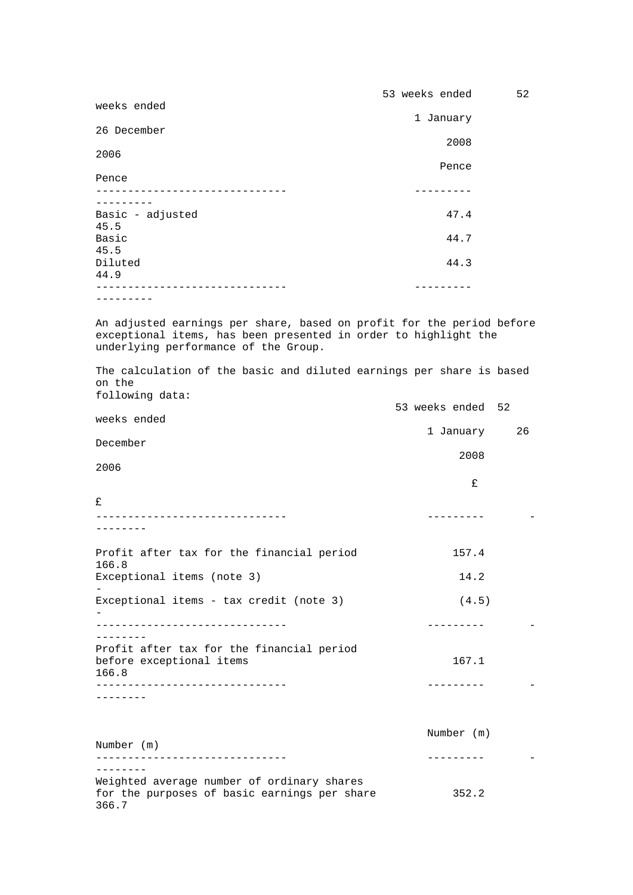|                                                                       | 53 weeks ended | 52 |
|-----------------------------------------------------------------------|----------------|----|
| weeks ended                                                           | 1 January      |    |
| 26 December                                                           |                |    |
| 2006                                                                  | 2008           |    |
|                                                                       | Pence          |    |
| Pence                                                                 |                |    |
|                                                                       |                |    |
| Basic - adjusted<br>45.5                                              | 47.4           |    |
| Basic                                                                 | 44.7           |    |
| 45.5<br>Diluted                                                       | 44.3           |    |
| 44.9                                                                  |                |    |
|                                                                       |                |    |
|                                                                       |                |    |
| In adjusted earnings nor share, based on profit for the period before |                |    |

An adjusted earnings per share, based on profit for the period before exceptional items, has been presented in order to highlight the underlying performance of the Group.

The calculation of the basic and diluted earnings per share is based on the following data: 53 weeks ended 52 weeks ended

|                                                                                                                  | 1 January  | 26 |
|------------------------------------------------------------------------------------------------------------------|------------|----|
| December                                                                                                         | 2008       |    |
| 2006                                                                                                             |            |    |
|                                                                                                                  | £          |    |
| £<br>----------------------------                                                                                |            |    |
|                                                                                                                  |            |    |
| Profit after tax for the financial period<br>166.8                                                               | 157.4      |    |
| Exceptional items (note 3)                                                                                       | 14.2       |    |
| Exceptional items - tax credit (note 3)                                                                          | (4.5)      |    |
| -------------------------------                                                                                  |            |    |
| Profit after tax for the financial period<br>before exceptional items<br>166.8                                   | 167.1      |    |
| ----------------------------                                                                                     | ---------  |    |
|                                                                                                                  |            |    |
| Number (m)                                                                                                       | Number (m) |    |
| --------------------------                                                                                       | ---------  |    |
| ---------<br>Weighted average number of ordinary shares<br>for the purposes of basic earnings per share<br>266.7 | 352.2      |    |

366.7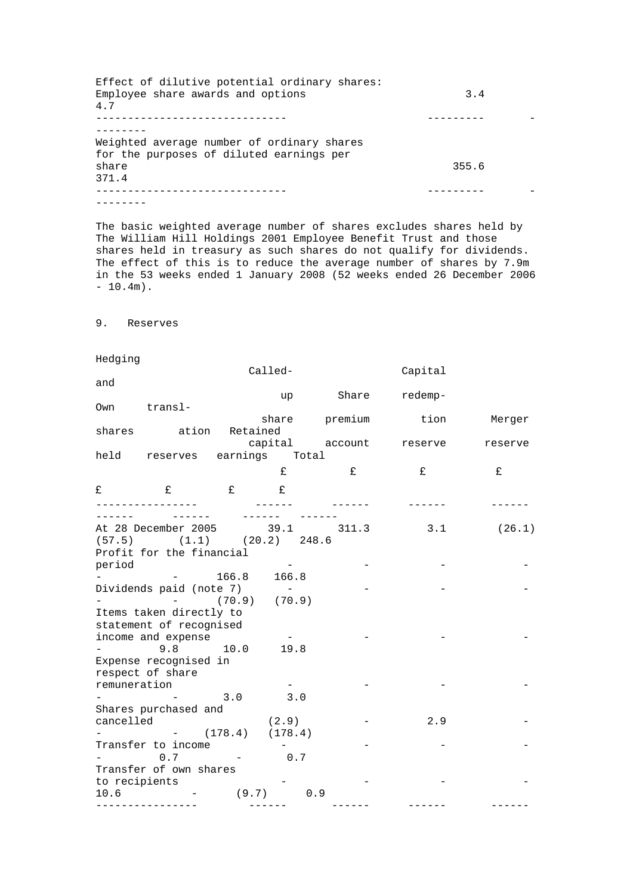| Effect of dilutive potential ordinary shares:<br>Employee share awards and options<br>4.7 | 3.4   |  |
|-------------------------------------------------------------------------------------------|-------|--|
|                                                                                           |       |  |
| Weighted average number of ordinary shares<br>for the purposes of diluted earnings per    |       |  |
| share                                                                                     | 355.6 |  |
| 371.4                                                                                     |       |  |
|                                                                                           |       |  |
|                                                                                           |       |  |

The basic weighted average number of shares excludes shares held by The William Hill Holdings 2001 Employee Benefit Trust and those shares held in treasury as such shares do not qualify for dividends. The effect of this is to reduce the average number of shares by 7.9m in the 53 weeks ended 1 January 2008 (52 weeks ended 26 December 2006  $-10.4m$ ).

9. Reserves

Hedging

|              |                                   |         | Called- |       | Capital                                   |         |
|--------------|-----------------------------------|---------|---------|-------|-------------------------------------------|---------|
| and          |                                   |         |         |       |                                           |         |
|              |                                   |         | up      | Share | redemp-                                   |         |
|              | Own transl-                       |         |         |       |                                           |         |
|              |                                   |         |         |       | share premium tion Merger                 |         |
|              | shares ation Retained             |         |         |       |                                           |         |
|              |                                   |         |         |       | capital account reserve                   | reserve |
|              | held reserves earnings Total      |         |         |       |                                           |         |
|              |                                   |         | £       |       |                                           | £       |
|              |                                   |         |         | E     | £                                         |         |
| $\mathbf{f}$ | $\mathbf{f}$                      | $E$ $E$ |         |       |                                           |         |
|              | ---------------                   |         |         |       |                                           |         |
|              |                                   |         |         |       |                                           |         |
|              |                                   |         |         |       | At 28 December 2005 39.1 311.3 3.1 (26.1) |         |
|              | $(57.5)$ $(1.1)$ $(20.2)$ $248.6$ |         |         |       |                                           |         |
|              | Profit for the financial          |         |         |       |                                           |         |
| period       |                                   |         |         |       |                                           |         |
|              | $  166.8$ $166.8$                 |         |         |       |                                           |         |
|              | Dividends paid (note 7) -         |         |         |       |                                           |         |
|              | $  (70.9)$ $(70.9)$               |         |         |       |                                           |         |
|              |                                   |         |         |       |                                           |         |
|              | Items taken directly to           |         |         |       |                                           |         |
|              | statement of recognised           |         |         |       |                                           |         |
|              | income and expense                |         |         |       |                                           |         |
|              | $-9.8$ 10.0 19.8                  |         |         |       |                                           |         |
|              | Expense recognised in             |         |         |       |                                           |         |
|              | respect of share                  |         |         |       |                                           |         |
| remuneration |                                   |         |         |       |                                           |         |
|              |                                   | 3.0     | 3.0     |       |                                           |         |
|              | Shares purchased and              |         |         |       |                                           |         |
|              | cancelled                         | (2.9)   |         |       | 2.9                                       |         |
|              | $  (178.4)$ $(178.4)$             |         |         |       |                                           |         |
|              | Transfer to income                |         |         |       |                                           |         |
|              | $-$ 0.7 $-$ 0.7                   |         |         |       |                                           |         |
|              | Transfer of own shares            |         |         |       |                                           |         |
|              | to recipients                     |         |         |       |                                           |         |
|              | $10.6$ - $(9.7)$ 0.9              |         |         |       |                                           |         |

---------------- ------ ------ ------ ------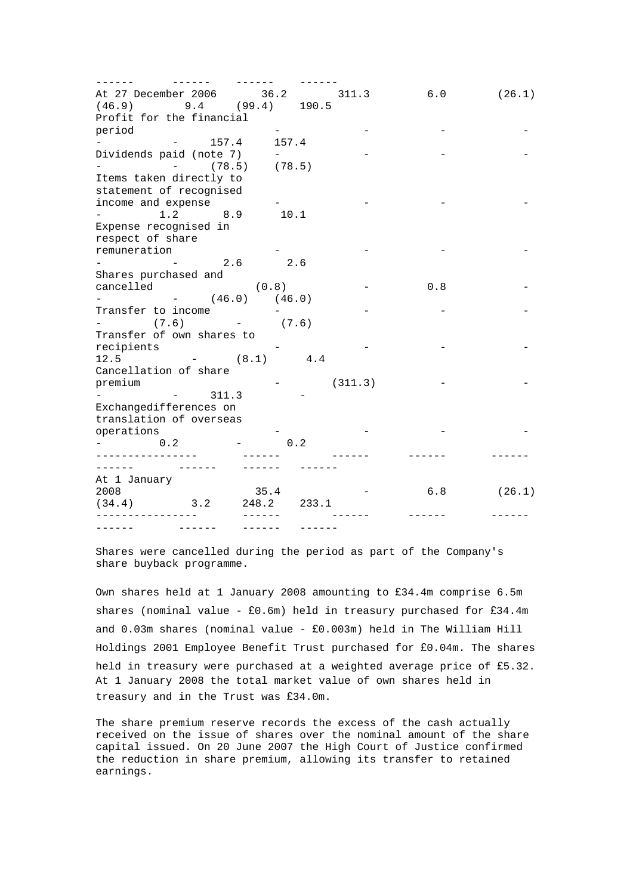| At 27 December 2006 36.2 311.3                                               |               |     |         | 6.0 | (26.1) |
|------------------------------------------------------------------------------|---------------|-----|---------|-----|--------|
| $(46.9)$ 9.4 $(99.4)$ 190.5                                                  |               |     |         |     |        |
| Profit for the financial                                                     |               |     |         |     |        |
| period                                                                       |               |     |         |     |        |
| $  157.4$ $157.4$                                                            |               |     |         |     |        |
| Dividends paid (note 7)                                                      | $ -$          |     |         |     |        |
| $-$ (78.5) (78.5)                                                            |               |     |         |     |        |
| Items taken directly to                                                      |               |     |         |     |        |
| statement of recognised                                                      |               |     |         |     |        |
| income and expense                                                           |               |     |         |     |        |
| $1.2$ $8.9$ $10.1$<br>$\frac{1}{2}$ and $\frac{1}{2}$ and $\frac{1}{2}$      |               |     |         |     |        |
| Expense recognised in                                                        |               |     |         |     |        |
|                                                                              |               |     |         |     |        |
| respect of share                                                             |               |     |         |     |        |
| remuneration                                                                 |               |     |         |     |        |
| $-2.6$ 2.6                                                                   |               |     |         |     |        |
| Shares purchased and                                                         |               |     |         |     |        |
| cancelled (0.8)                                                              |               |     |         | 0.8 |        |
| $-$ (46.0) (46.0)                                                            |               |     |         |     |        |
| Transfer to income                                                           |               |     |         |     |        |
| $-$ (7.6) $-$ (7.6)                                                          |               |     |         |     |        |
| Transfer of own shares to                                                    |               |     |         |     |        |
| recipients                                                                   |               |     |         |     |        |
| $12.5$ $ (8.1)$ $4.4$                                                        |               |     |         |     |        |
| Cancellation of share                                                        |               |     |         |     |        |
| premium                                                                      |               |     | (311.3) |     |        |
| 311.3<br>$\frac{1}{2}$ and $\frac{1}{2}$ and $\frac{1}{2}$ and $\frac{1}{2}$ |               |     |         |     |        |
| Exchangedifferences on                                                       |               |     |         |     |        |
| translation of overseas                                                      |               |     |         |     |        |
| operations                                                                   |               |     |         |     |        |
| 0.2                                                                          |               | 0.2 |         |     |        |
| . _ _ _ _ _ _ _ _ _ _ _ _ _ _ _                                              |               |     |         |     |        |
|                                                                              |               |     |         |     |        |
| At 1 January                                                                 |               |     |         |     |        |
| 2008 000                                                                     | 35.4          |     |         | 6.8 | (26.1) |
| $(34.4)$ 3.2                                                                 | 248.2 233.1   |     |         |     |        |
| __________________                                                           |               |     |         |     |        |
| $\frac{1}{2}$                                                                | $- - - - - -$ |     |         |     |        |

Shares were cancelled during the period as part of the Company's share buyback programme.

Own shares held at 1 January 2008 amounting to  $£34.4m$  comprise  $6.5m$ shares (nominal value -  $£0.6m$ ) held in treasury purchased for £34.4m and  $0.03$ m shares (nominal value -  $£0.003$ m) held in The William Hill Holdings 2001 Employee Benefit Trust purchased for  $£0.04$ m. The shares held in treasury were purchased at a weighted average price of £5.32. At 1 January 2008 the total market value of own shares held in treasury and in the Trust was £34.0m.

The share premium reserve records the excess of the cash actually received on the issue of shares over the nominal amount of the share capital issued. On 20 June 2007 the High Court of Justice confirmed the reduction in share premium, allowing its transfer to retained earnings.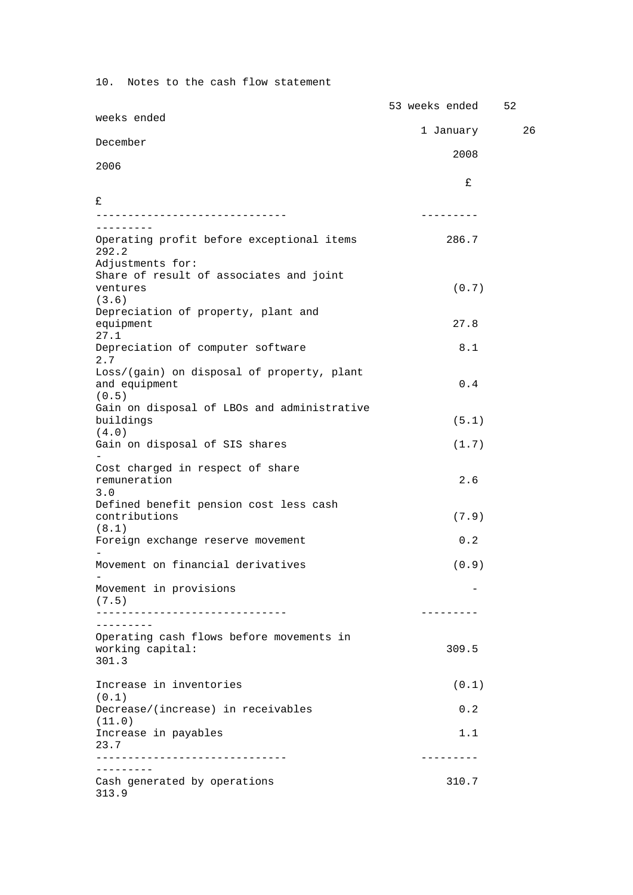10. Notes to the cash flow statement

|                                                     | 53 weeks ended    | 52 |
|-----------------------------------------------------|-------------------|----|
| weeks ended                                         | 1 January         | 26 |
| December                                            | 2008              |    |
| 2006                                                |                   |    |
|                                                     | £                 |    |
| £<br>___________________________                    | - - - - - - - - - |    |
| ---------                                           |                   |    |
| Operating profit before exceptional items<br>292.2  | 286.7             |    |
| Adjustments for:                                    |                   |    |
| Share of result of associates and joint<br>ventures | (0.7)             |    |
| (3.6)                                               |                   |    |
| Depreciation of property, plant and<br>equipment    | 27.8              |    |
| 27.1<br>Depreciation of computer software<br>2.7    | 8.1               |    |
| Loss/(gain) on disposal of property, plant          |                   |    |
| and equipment<br>(0.5)                              | 0.4               |    |
| Gain on disposal of LBOs and administrative         |                   |    |
| buildings<br>(4.0)                                  | (5.1)             |    |
| Gain on disposal of SIS shares                      | (1.7)             |    |
| Cost charged in respect of share                    |                   |    |
| remuneration<br>3.0                                 | 2.6               |    |
| Defined benefit pension cost less cash              |                   |    |
| contributions                                       | (7.9)             |    |
| (8.1)<br>Foreign exchange reserve movement          | 0.2               |    |
| Movement on financial derivatives                   |                   |    |
|                                                     | (0.9)             |    |
| Movement in provisions<br>(7.5)                     |                   |    |
|                                                     | ---------         |    |
| Operating cash flows before movements in            |                   |    |
| working capital:<br>301.3                           | 309.5             |    |
|                                                     |                   |    |
| Increase in inventories<br>(0.1)                    | (0.1)             |    |
| Decrease/(increase) in receivables<br>(11.0)        | 0.2               |    |
| Increase in payables                                | 1.1               |    |
| 23.7                                                | . <u>.</u>        |    |
| . _ _ _ _ _ _ _ _                                   |                   |    |
| Cash generated by operations<br>313.9               | 310.7             |    |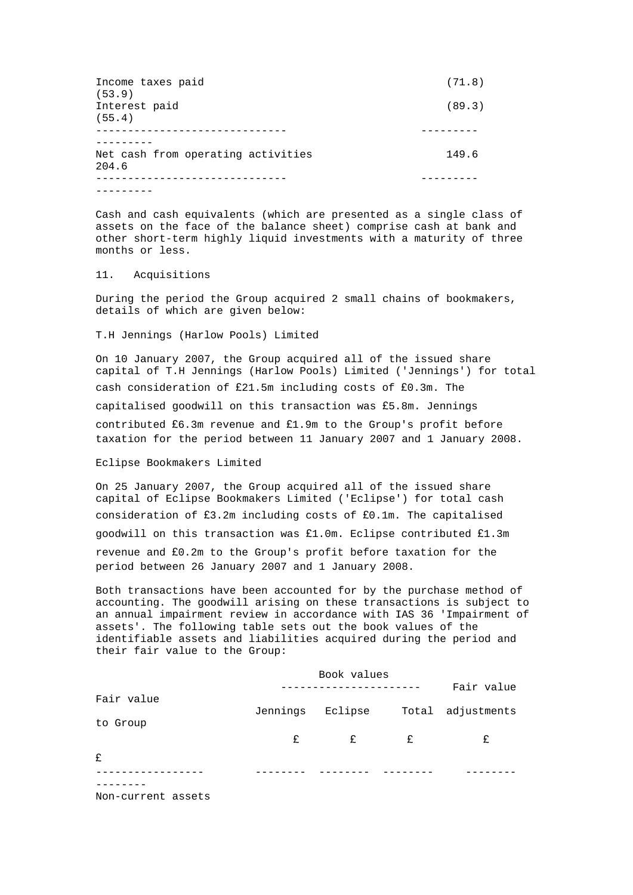| Income taxes paid<br>(53.9)                 | (71.8) |
|---------------------------------------------|--------|
| Interest paid<br>(55.4)                     | (89.3) |
|                                             |        |
| Net cash from operating activities<br>204.6 | 149.6  |
|                                             |        |
|                                             |        |

Cash and cash equivalents (which are presented as a single class of assets on the face of the balance sheet) comprise cash at bank and other short-term highly liquid investments with a maturity of three months or less.

## 11. Acquisitions

During the period the Group acquired 2 small chains of bookmakers, details of which are given below:

T.H Jennings (Harlow Pools) Limited

On 10 January 2007, the Group acquired all of the issued share capital of T.H Jennings (Harlow Pools) Limited ('Jennings') for total cash consideration of £21.5m including costs of £0.3m. The capitalised goodwill on this transaction was £5.8m. Jennings contributed  $£6.3m$  revenue and  $£1.9m$  to the Group's profit before taxation for the period between 11 January 2007 and 1 January 2008.

#### Eclipse Bookmakers Limited

On 25 January 2007, the Group acquired all of the issued share capital of Eclipse Bookmakers Limited ('Eclipse') for total cash consideration of  $£3.2m$  including costs of  $£0.1m$ . The capitalised goodwill on this transaction was  $£1.0$ m. Eclipse contributed  $£1.3$ m revenue and £0.2m to the Group's profit before taxation for the period between 26 January 2007 and 1 January 2008.

Both transactions have been accounted for by the purchase method of accounting. The goodwill arising on these transactions is subject to an annual impairment review in accordance with IAS 36 'Impairment of assets'. The following table sets out the book values of the identifiable assets and liabilities acquired during the period and their fair value to the Group:

|            | Book values |         |   | Fair value        |  |
|------------|-------------|---------|---|-------------------|--|
| Fair value | Jennings    | Eclipse |   | Total adjustments |  |
| to Group   | E           | E       | E | £                 |  |
| £          |             |         |   |                   |  |
|            |             |         |   |                   |  |
|            |             |         |   |                   |  |

Non-current assets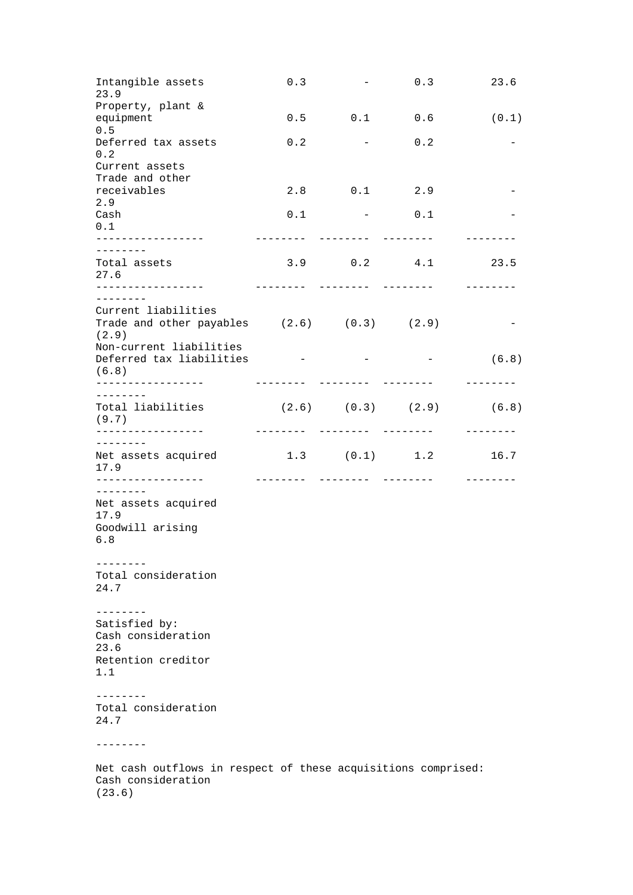| Intangible assets<br>23.9                                                                     | 0.3                             | $ -$                                 | 0.3               | 23.6  |
|-----------------------------------------------------------------------------------------------|---------------------------------|--------------------------------------|-------------------|-------|
| Property, plant &<br>equipment                                                                |                                 |                                      | $0.5$ $0.1$ $0.6$ | (0.1) |
| 0.5<br>Deferred tax assets<br>0.2                                                             | 0.2                             | the company of the company           | 0.2               |       |
| Current assets<br>Trade and other                                                             |                                 |                                      |                   |       |
| receivables<br>2.9                                                                            | 2.8                             | $0.1$ 2.9                            |                   |       |
| Cash<br>0.1                                                                                   | 0.1                             | the control of the second control of | 0.1               |       |
| ---------                                                                                     |                                 | ---------                            | ---------         |       |
| Total assets<br>27.6                                                                          |                                 | $3.9$ 0.2 4.1                        |                   | 23.5  |
| . <u>_ _ _ _ _ _ _ _ _ _ _ _ _ _ _</u> _<br>---------                                         | --------                        | --------                             | --------          |       |
| Current liabilities                                                                           |                                 |                                      |                   |       |
| Trade and other payables $(2.6)$ $(0.3)$ $(2.9)$<br>(2.9)                                     |                                 |                                      |                   |       |
| Non-current liabilities<br>Deferred tax liabilities $   (6.8)$                                |                                 |                                      |                   |       |
| (6.8)                                                                                         |                                 |                                      |                   |       |
| --------                                                                                      |                                 |                                      |                   |       |
| Total liabilities<br>(9.7)<br>----------------                                                | $(2.6)$ $(0.3)$ $(2.9)$ $(6.8)$ |                                      |                   |       |
| - - - - - - - -                                                                               |                                 |                                      |                   |       |
| Net assets acquired 1.3 (0.1) 1.2<br>17.9                                                     |                                 |                                      |                   | 16.7  |
| $- - - - - - - -$                                                                             |                                 |                                      |                   |       |
| Net assets acquired<br>17.9                                                                   |                                 |                                      |                   |       |
| Goodwill arising<br>6.8                                                                       |                                 |                                      |                   |       |
|                                                                                               |                                 |                                      |                   |       |
| Total consideration<br>24.7                                                                   |                                 |                                      |                   |       |
| --------                                                                                      |                                 |                                      |                   |       |
| Satisfied by:<br>Cash consideration<br>23.6                                                   |                                 |                                      |                   |       |
| Retention creditor<br>1.1                                                                     |                                 |                                      |                   |       |
|                                                                                               |                                 |                                      |                   |       |
| .<br>Total consideration<br>24.7                                                              |                                 |                                      |                   |       |
| --------                                                                                      |                                 |                                      |                   |       |
| Net cash outflows in respect of these acquisitions comprised:<br>Cash consideration<br>(23.6) |                                 |                                      |                   |       |